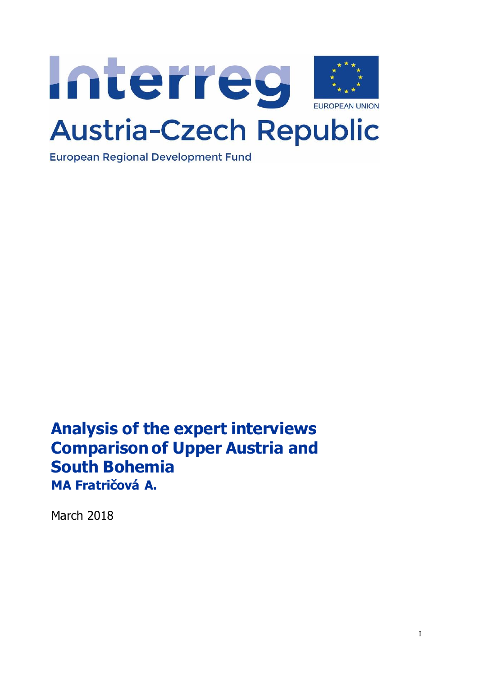

**European Regional Development Fund** 

**Analysis of the expert interviews Comparison of Upper Austria and South Bohemia MA Fratričová A.**

March 2018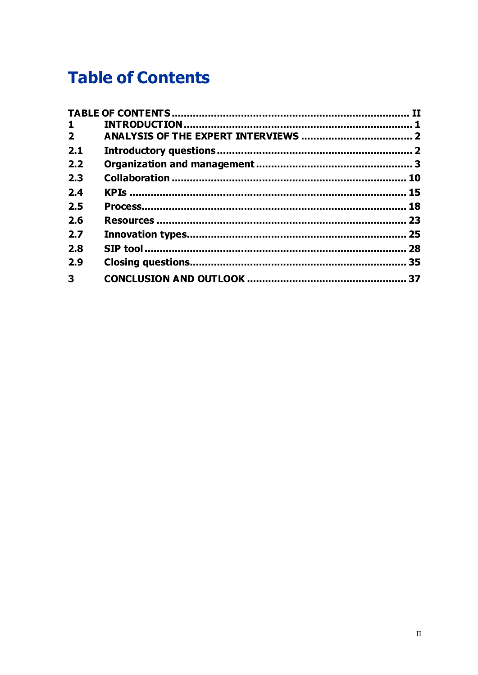# <span id="page-1-0"></span>**Table of Contents**

| $\mathbf{1}$   |    |
|----------------|----|
| $\overline{2}$ |    |
| 2.1            |    |
| 2.2            |    |
| 2.3            |    |
| 2.4            |    |
| 2.5            |    |
| 2.6            |    |
| 2.7            | 25 |
| 2.8            | 28 |
| 2.9            |    |
| 3              |    |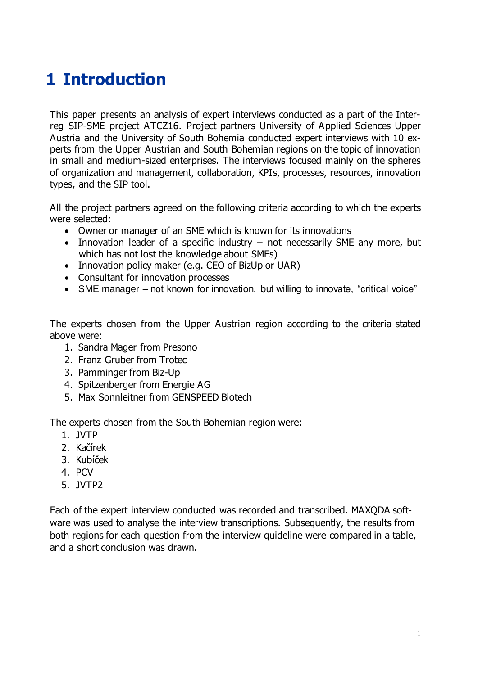# <span id="page-2-0"></span>**1 Introduction**

This paper presents an analysis of expert interviews conducted as a part of the Interreg SIP-SME project ATCZ16. Project partners University of Applied Sciences Upper Austria and the University of South Bohemia conducted expert interviews with 10 experts from the Upper Austrian and South Bohemian regions on the topic of innovation in small and medium-sized enterprises. The interviews focused mainly on the spheres of organization and management, collaboration, KPIs, processes, resources, innovation types, and the SIP tool.

All the project partners agreed on the following criteria according to which the experts were selected:

- Owner or manager of an SME which is known for its innovations
- Innovation leader of a specific industry not necessarily SME any more, but which has not lost the knowledge about SMEs)
- Innovation policy maker (e.g. CEO of BizUp or UAR)
- Consultant for innovation processes
- SME manager not known for innovation, but willing to innovate, "critical voice"

The experts chosen from the Upper Austrian region according to the criteria stated above were:

- 1. Sandra Mager from Presono
- 2. Franz Gruber from Trotec
- 3. Pamminger from Biz-Up
- 4. Spitzenberger from Energie AG
- 5. Max Sonnleitner from GENSPEED Biotech

The experts chosen from the South Bohemian region were:

- 1. JVTP
- 2. Kačírek
- 3. Kubíček
- 4. PCV
- 5. JVTP2

Each of the expert interview conducted was recorded and transcribed. MAXQDA software was used to analyse the interview transcriptions. Subsequently, the results from both regions for each question from the interview quideline were compared in a table, and a short conclusion was drawn.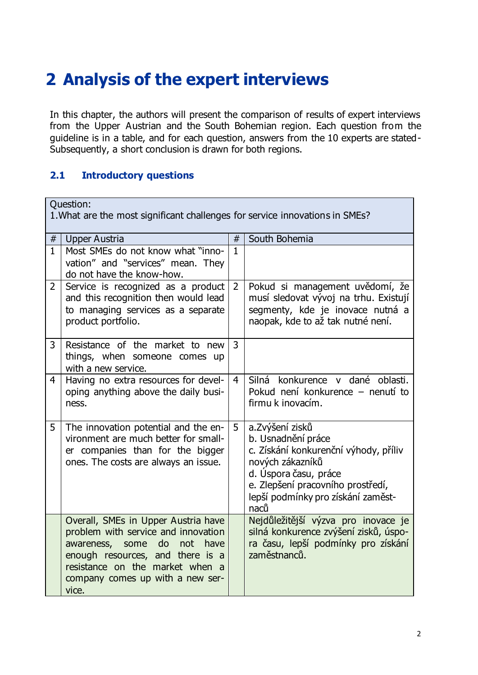# <span id="page-3-0"></span>**2 Analysis of the expert interviews**

In this chapter, the authors will present the comparison of results of expert interviews from the Upper Austrian and the South Bohemian region. Each question from the guideline is in a table, and for each question, answers from the 10 experts are stated-Subsequently, a short conclusion is drawn for both regions.

### <span id="page-3-1"></span>**2.1 Introductory questions**

| <b>Ouestion:</b><br>1. What are the most significant challenges for service innovations in SMEs? |                                                                                                                                                                                                                                           |                |                                                                                                                                                                                                                 |
|--------------------------------------------------------------------------------------------------|-------------------------------------------------------------------------------------------------------------------------------------------------------------------------------------------------------------------------------------------|----------------|-----------------------------------------------------------------------------------------------------------------------------------------------------------------------------------------------------------------|
| South Bohemia<br>$\#$<br><b>Upper Austria</b><br>#                                               |                                                                                                                                                                                                                                           |                |                                                                                                                                                                                                                 |
| $\mathbf{1}$                                                                                     | Most SMEs do not know what "inno-<br>vation" and "services" mean. They<br>do not have the know-how.                                                                                                                                       | $\mathbf{1}$   |                                                                                                                                                                                                                 |
| $\mathbf{2}$                                                                                     | Service is recognized as a product<br>and this recognition then would lead<br>to managing services as a separate<br>product portfolio.                                                                                                    | $\overline{2}$ | Pokud si management uvědomí, že<br>musí sledovat vývoj na trhu. Existují<br>segmenty, kde je inovace nutná a<br>naopak, kde to až tak nutné není.                                                               |
| 3                                                                                                | Resistance of the market to new<br>things, when someone comes up<br>with a new service.                                                                                                                                                   | 3              |                                                                                                                                                                                                                 |
| 4                                                                                                | Having no extra resources for devel-<br>oping anything above the daily busi-<br>ness.                                                                                                                                                     | 4              | Silná konkurence v dané oblasti.<br>Pokud není konkurence – nenutí to<br>firmu k inovacím.                                                                                                                      |
| 5                                                                                                | The innovation potential and the en-<br>vironment are much better for small-<br>er companies than for the bigger<br>ones. The costs are always an issue.                                                                                  | 5              | a. Zvýšení zisků<br>b. Usnadnění práce<br>c. Získání konkurenční výhody, příliv<br>nových zákazníků<br>d. Úspora času, práce<br>e. Zlepšení pracovního prostředí,<br>lepší podmínky pro získání zaměst-<br>naců |
|                                                                                                  | Overall, SMEs in Upper Austria have<br>problem with service and innovation<br>awareness,<br>some<br>do<br>not<br>have<br>enough resources, and there is a<br>resistance on the market when a<br>company comes up with a new ser-<br>vice. |                | Nejdůležitější výzva pro inovace je<br>silná konkurence zvýšení zisků, úspo-<br>ra času, lepší podmínky pro získání<br>zaměstnanců.                                                                             |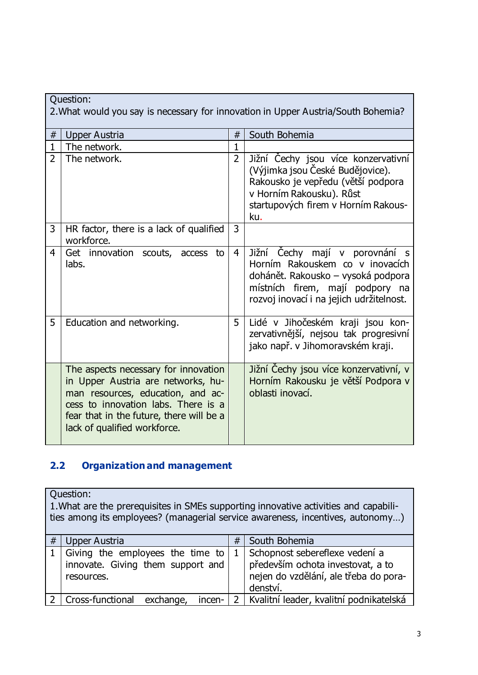| Question:<br>2. What would you say is necessary for innovation in Upper Austria/South Bohemia? |                                                                                                                                                                                                                                    |                |                                                                                                                                                                                         |  |
|------------------------------------------------------------------------------------------------|------------------------------------------------------------------------------------------------------------------------------------------------------------------------------------------------------------------------------------|----------------|-----------------------------------------------------------------------------------------------------------------------------------------------------------------------------------------|--|
| $\#$                                                                                           | Upper Austria                                                                                                                                                                                                                      | #              | South Bohemia                                                                                                                                                                           |  |
| $\mathbf{1}$                                                                                   | The network.                                                                                                                                                                                                                       | $\mathbf 1$    |                                                                                                                                                                                         |  |
| $\overline{2}$                                                                                 | The network.                                                                                                                                                                                                                       | $\overline{2}$ | Jižní Čechy jsou více konzervativní<br>(Výjimka jsou České Budějovice).<br>Rakousko je vepředu (větší podpora<br>v Horním Rakousku). Růst<br>startupových firem v Horním Rakous-<br>ku. |  |
| 3                                                                                              | HR factor, there is a lack of qualified<br>workforce.                                                                                                                                                                              | $\overline{3}$ |                                                                                                                                                                                         |  |
| $\overline{4}$                                                                                 | Get innovation scouts, access<br>to<br>labs.                                                                                                                                                                                       | $\overline{4}$ | Jižní Čechy mají v porovnání s<br>Horním Rakouskem co v inovacích<br>dohánět. Rakousko – vysoká podpora<br>místních firem, mají podpory na<br>rozvoj inovací i na jejich udržitelnost.  |  |
| 5                                                                                              | Education and networking.                                                                                                                                                                                                          | 5              | Lidé v Jihočeském kraji jsou kon-<br>zervativnější, nejsou tak progresivní<br>jako např. v Jihomoravském kraji.                                                                         |  |
|                                                                                                | The aspects necessary for innovation<br>in Upper Austria are networks, hu-<br>man resources, education, and ac-<br>cess to innovation labs. There is a<br>fear that in the future, there will be a<br>lack of qualified workforce. |                | Jižní Čechy jsou více konzervativní, v<br>Horním Rakousku je větší Podpora v<br>oblasti inovací.                                                                                        |  |

### <span id="page-4-0"></span>**2.2 Organization and management**

Question: 1.What are the prerequisites in SMEs supporting innovative activities and capabilities among its employees? (managerial service awareness, incentives, autonomy…)  $\#$  Upper Austria  $\#$  South Bohemia  $1$  Giving the employees the time to innovate. Giving them support and resources. 1 Schopnost sebereflexe vedení a především ochota investovat, a to nejen do vzdělání, ale třeba do poradenství. 2 Cross-functional exchange, incen- 2 Kvalitní leader, kvalitní podnikatelská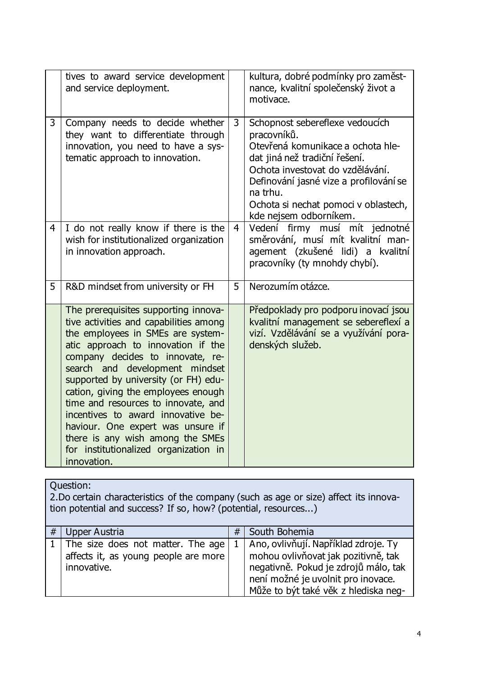|   | tives to award service development<br>and service deployment.                                                                                                                                                                                                                                                                                                                                                                                                                                                                |                | kultura, dobré podmínky pro zaměst-<br>nance, kvalitní společenský život a                                                                                                                                                                                                       |
|---|------------------------------------------------------------------------------------------------------------------------------------------------------------------------------------------------------------------------------------------------------------------------------------------------------------------------------------------------------------------------------------------------------------------------------------------------------------------------------------------------------------------------------|----------------|----------------------------------------------------------------------------------------------------------------------------------------------------------------------------------------------------------------------------------------------------------------------------------|
|   |                                                                                                                                                                                                                                                                                                                                                                                                                                                                                                                              |                | motivace.                                                                                                                                                                                                                                                                        |
| 3 | Company needs to decide whether<br>they want to differentiate through<br>innovation, you need to have a sys-<br>tematic approach to innovation.                                                                                                                                                                                                                                                                                                                                                                              | 3              | Schopnost sebereflexe vedoucích<br>pracovníků.<br>Otevřená komunikace a ochota hle-<br>dat jiná než tradiční řešení.<br>Ochota investovat do vzdělávání.<br>Definování jasné vize a profilování se<br>na trhu.<br>Ochota si nechat pomoci v oblastech,<br>kde nejsem odborníkem. |
| 4 | I do not really know if there is the<br>wish for institutionalized organization<br>in innovation approach.                                                                                                                                                                                                                                                                                                                                                                                                                   | $\overline{4}$ | Vedení firmy musí mít jednotné<br>směrování, musí mít kvalitní man-<br>agement (zkušené lidi) a kvalitní<br>pracovníky (ty mnohdy chybí).                                                                                                                                        |
| 5 | R&D mindset from university or FH                                                                                                                                                                                                                                                                                                                                                                                                                                                                                            | 5              | Nerozumím otázce.                                                                                                                                                                                                                                                                |
|   | The prerequisites supporting innova-<br>tive activities and capabilities among<br>the employees in SMEs are system-<br>atic approach to innovation if the<br>company decides to innovate, re-<br>search and development mindset<br>supported by university (or FH) edu-<br>cation, giving the employees enough<br>time and resources to innovate, and<br>incentives to award innovative be-<br>haviour. One expert was unsure if<br>there is any wish among the SMEs<br>for institutionalized organization in<br>innovation. |                | Předpoklady pro podporu inovací jsou<br>kvalitní management se sebereflexí a<br>vizí. Vzdělávání se a využívání pora-<br>denských služeb.                                                                                                                                        |

2.Do certain characteristics of the company (such as age or size) affect its innovation potential and success? If so, how? (potential, resources...)

| # | Upper Austria                                                                                    | # | South Bohemia                                                                                                                                                 |
|---|--------------------------------------------------------------------------------------------------|---|---------------------------------------------------------------------------------------------------------------------------------------------------------------|
|   | 1   The size does not matter. The age $ $<br>affects it, as young people are more<br>innovative. |   | 1   Ano, ovlivňují. Například zdroje. Ty<br>mohou ovlivňovat jak pozitivně, tak<br>negativně. Pokud je zdrojů málo, tak<br>není možné je uvolnit pro inovace. |
|   |                                                                                                  |   | Může to být také věk z hlediska neg-                                                                                                                          |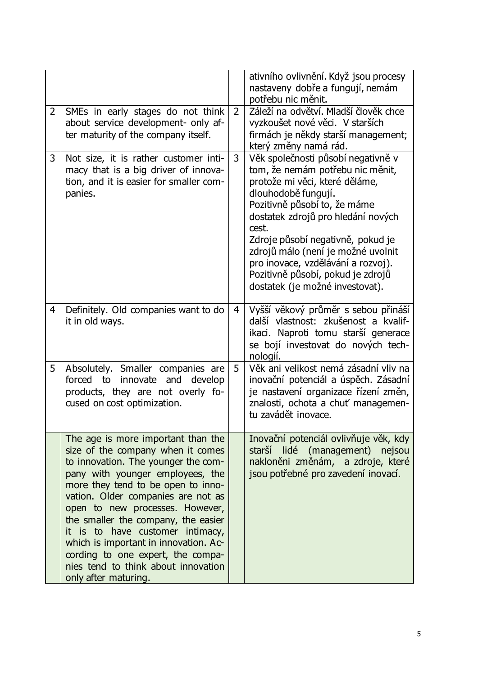|                |                                                                                                                                                                                                                                                                                                                                                                                                                                                                                           |                | ativního ovlivnění. Když jsou procesy<br>nastaveny dobře a fungují, nemám<br>potřebu nic měnit.                                                                                                                                                                                                                                                                                                         |
|----------------|-------------------------------------------------------------------------------------------------------------------------------------------------------------------------------------------------------------------------------------------------------------------------------------------------------------------------------------------------------------------------------------------------------------------------------------------------------------------------------------------|----------------|---------------------------------------------------------------------------------------------------------------------------------------------------------------------------------------------------------------------------------------------------------------------------------------------------------------------------------------------------------------------------------------------------------|
| $\overline{2}$ | SMEs in early stages do not think<br>about service development- only af-<br>ter maturity of the company itself.                                                                                                                                                                                                                                                                                                                                                                           | $\overline{2}$ | Záleží na odvětví. Mladší člověk chce<br>vyzkoušet nové věci. V starších<br>firmách je někdy starší management;<br>který změny namá rád.                                                                                                                                                                                                                                                                |
| 3              | Not size, it is rather customer inti-<br>macy that is a big driver of innova-<br>tion, and it is easier for smaller com-<br>panies.                                                                                                                                                                                                                                                                                                                                                       | 3              | Věk společnosti působí negativně v<br>tom, že nemám potřebu nic měnit,<br>protože mi věci, které děláme,<br>dlouhodobě fungují.<br>Pozitivně působí to, že máme<br>dostatek zdrojů pro hledání nových<br>cest.<br>Zdroje působí negativně, pokud je<br>zdrojů málo (není je možné uvolnit<br>pro inovace, vzdělávání a rozvoj).<br>Pozitivně působí, pokud je zdrojů<br>dostatek (je možné investovat). |
| $\overline{4}$ | Definitely. Old companies want to do<br>it in old ways.                                                                                                                                                                                                                                                                                                                                                                                                                                   | 4              | Vyšší věkový průměr s sebou přináší<br>další vlastnost: zkušenost a kvalif-<br>ikaci. Naproti tomu starší generace<br>se bojí investovat do nových tech-<br>nologií.                                                                                                                                                                                                                                    |
| 5              | Absolutely. Smaller companies are<br>forced to<br>innovate<br>and<br>develop<br>products, they are not overly fo-<br>cused on cost optimization.                                                                                                                                                                                                                                                                                                                                          | 5              | Věk ani velikost nemá zásadní vliv na<br>inovační potenciál a úspěch. Zásadní<br>je nastavení organizace řízení změn,<br>znalosti, ochota a chut' managemen-<br>tu zavádět inovace.                                                                                                                                                                                                                     |
|                | The age is more important than the<br>size of the company when it comes<br>to innovation. The younger the com-<br>pany with younger employees, the<br>more they tend to be open to inno-<br>vation. Older companies are not as<br>open to new processes. However,<br>the smaller the company, the easier<br>it is to have customer intimacy,<br>which is important in innovation. Ac-<br>cording to one expert, the compa-<br>nies tend to think about innovation<br>only after maturing. |                | Inovační potenciál ovlivňuje věk, kdy<br>starší lidé (management) nejsou<br>nakloněni změnám, a zdroje, které<br>jsou potřebné pro zavedení inovací.                                                                                                                                                                                                                                                    |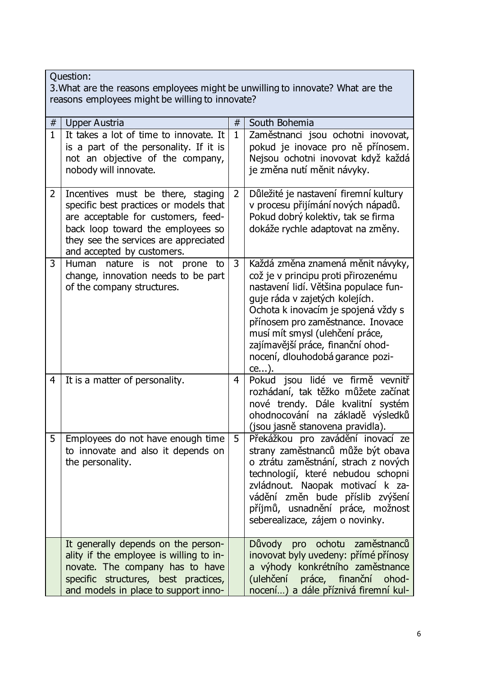| Question:<br>3. What are the reasons employees might be unwilling to innovate? What are the<br>reasons employees might be willing to innovate? |                                                                                                                                                                                                                                |                |                                                                                                                                                                                                                                                                                                                                                        |  |
|------------------------------------------------------------------------------------------------------------------------------------------------|--------------------------------------------------------------------------------------------------------------------------------------------------------------------------------------------------------------------------------|----------------|--------------------------------------------------------------------------------------------------------------------------------------------------------------------------------------------------------------------------------------------------------------------------------------------------------------------------------------------------------|--|
| #                                                                                                                                              | Upper Austria                                                                                                                                                                                                                  | #              | South Bohemia                                                                                                                                                                                                                                                                                                                                          |  |
| $\overline{1}$                                                                                                                                 | It takes a lot of time to innovate. It<br>is a part of the personality. If it is<br>not an objective of the company,<br>nobody will innovate.                                                                                  | $\mathbf{1}$   | Zaměstnanci jsou ochotni inovovat,<br>pokud je inovace pro ně přínosem.<br>Nejsou ochotni inovovat když každá<br>je změna nutí měnit návyky.                                                                                                                                                                                                           |  |
| $\overline{2}$                                                                                                                                 | Incentives must be there, staging<br>specific best practices or models that<br>are acceptable for customers, feed-<br>back loop toward the employees so<br>they see the services are appreciated<br>and accepted by customers. | $\overline{2}$ | Důležité je nastavení firemní kultury<br>v procesu přijímání nových nápadů.<br>Pokud dobrý kolektiv, tak se firma<br>dokáže rychle adaptovat na změny.                                                                                                                                                                                                 |  |
| 3                                                                                                                                              | Human<br>nature is not prone<br>to<br>change, innovation needs to be part<br>of the company structures.                                                                                                                        | 3              | Každá změna znamená měnit návyky,<br>což je v principu proti přirozenému<br>nastavení lidí. Většina populace fun-<br>guje ráda v zajetých kolejích.<br>Ochota k inovacím je spojená vždy s<br>přínosem pro zaměstnance. Inovace<br>musí mít smysl (ulehčení práce,<br>zajímavější práce, finanční ohod-<br>nocení, dlouhodobá garance pozi-<br>$ce$ ). |  |
| 4                                                                                                                                              | It is a matter of personality.                                                                                                                                                                                                 | 4              | Pokud jsou lidé ve firmě vevnitř<br>rozhádaní, tak těžko můžete začínat<br>nové trendy. Dále kvalitní systém<br>ohodnocování na základě výsledků<br>(jsou jasně stanovena pravidla).                                                                                                                                                                   |  |
| 5                                                                                                                                              | Employees do not have enough time<br>to innovate and also it depends on<br>the personality.                                                                                                                                    | 5              | Překážkou pro zavádění inovací ze<br>strany zaměstnanců může být obava<br>o ztrátu zaměstnání, strach z nových<br>technologií, které nebudou schopni<br>zvládnout. Naopak motivací k za-<br>vádění změn bude příslib zvýšení<br>příjmů, usnadnění práce, možnost<br>seberealizace, zájem o novinky.                                                    |  |
|                                                                                                                                                | It generally depends on the person-<br>ality if the employee is willing to in-<br>novate. The company has to have<br>specific structures, best practices,<br>and models in place to support inno-                              |                | Důvody pro ochotu<br>zaměstnanců<br>inovovat byly uvedeny: přímé přínosy<br>a výhody konkrétního zaměstnance<br>(ulehčení<br>práce, finanční<br>ohod-<br>nocení) a dále příznivá firemní kul-                                                                                                                                                          |  |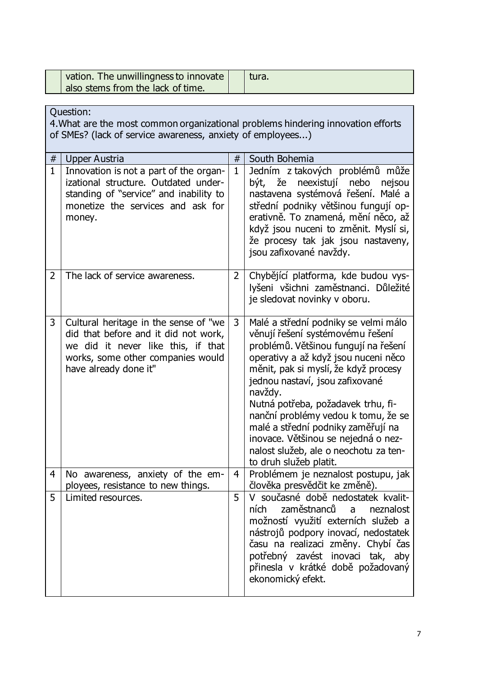| vation. The unwillingness to innovate<br>also stems from the lack of time. | tura. |
|----------------------------------------------------------------------------|-------|
|                                                                            |       |
|                                                                            |       |

|                | Question:<br>4. What are the most common organizational problems hindering innovation efforts<br>of SMEs? (lack of service awareness, anxiety of employees)                       |                |                                                                                                                                                                                                                                                                                                                                                                                                                                                                             |  |  |
|----------------|-----------------------------------------------------------------------------------------------------------------------------------------------------------------------------------|----------------|-----------------------------------------------------------------------------------------------------------------------------------------------------------------------------------------------------------------------------------------------------------------------------------------------------------------------------------------------------------------------------------------------------------------------------------------------------------------------------|--|--|
|                |                                                                                                                                                                                   |                |                                                                                                                                                                                                                                                                                                                                                                                                                                                                             |  |  |
| $\#$           | Upper Austria                                                                                                                                                                     | #              | South Bohemia                                                                                                                                                                                                                                                                                                                                                                                                                                                               |  |  |
| $\mathbf{1}$   | Innovation is not a part of the organ-<br>izational structure. Outdated under-<br>standing of "service" and inability to<br>monetize the services and ask for<br>money.           | $\mathbf{1}$   | Jedním z takových problémů může<br>být, že<br>neexistují<br>nebo<br>nejsou<br>nastavena systémová řešení. Malé a<br>střední podniky většinou fungují op-<br>erativně. To znamená, mění něco, až<br>když jsou nuceni to změnit. Myslí si,<br>že procesy tak jak jsou nastaveny,<br>jsou zafixované navždy.                                                                                                                                                                   |  |  |
| $\overline{2}$ | The lack of service awareness.                                                                                                                                                    | $\overline{2}$ | Chybějící platforma, kde budou vys-<br>lyšeni všichni zaměstnanci. Důležité<br>je sledovat novinky v oboru.                                                                                                                                                                                                                                                                                                                                                                 |  |  |
| 3              | Cultural heritage in the sense of "we<br>did that before and it did not work,<br>we did it never like this, if that<br>works, some other companies would<br>have already done it" | 3              | Malé a střední podniky se velmi málo<br>věnují řešení systémovému řešení<br>problémů. Většinou fungují na řešení<br>operativy a až když jsou nuceni něco<br>měnit, pak si myslí, že když procesy<br>jednou nastaví, jsou zafixované<br>navždy.<br>Nutná potřeba, požadavek trhu, fi-<br>nanční problémy vedou k tomu, že se<br>malé a střední podniky zaměřují na<br>inovace. Většinou se nejedná o nez-<br>nalost služeb, ale o neochotu za ten-<br>to druh služeb platit. |  |  |
| $\overline{4}$ | No awareness, anxiety of the em-<br>ployees, resistance to new things.                                                                                                            | $\overline{4}$ | Problémem je neznalost postupu, jak<br>člověka presvědčit ke změně).                                                                                                                                                                                                                                                                                                                                                                                                        |  |  |
| 5              | Limited resources.                                                                                                                                                                | 5              | V současné době nedostatek kvalit-<br>ních<br>zaměstnanců<br>a neznalost<br>možností využití externích služeb a<br>nástrojů podpory inovací, nedostatek<br>času na realizaci změny. Chybí čas<br>potřebný zavést inovaci tak, aby<br>přinesla v krátké době požadovaný<br>ekonomický efekt.                                                                                                                                                                                 |  |  |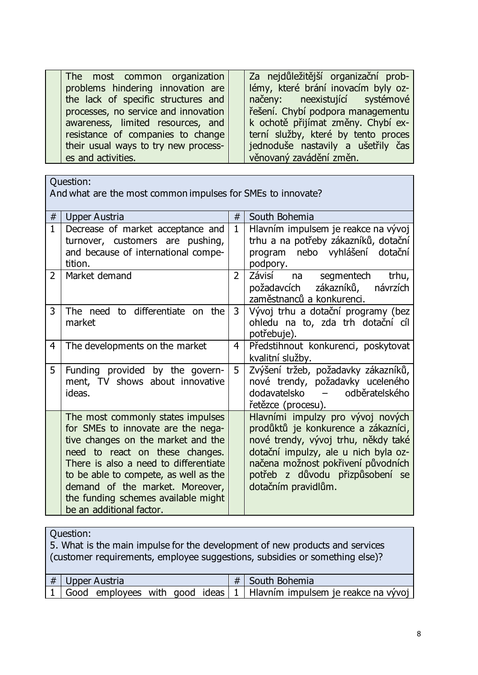| The most common organization<br>problems hindering innovation are<br>the lack of specific structures and<br>processes, no service and innovation<br>awareness, limited resources, and<br>resistance of companies to change<br>their usual ways to try new process- | Za nejdůležitější organizační prob-<br>lémy, které brání inovacím byly oz-<br>načeny: neexistující systémové<br>řešení. Chybí podpora managementu<br>k ochotě přijímat změny. Chybí ex-<br>terní služby, které by tento proces<br>jednoduše nastavily a ušetřily čas |
|--------------------------------------------------------------------------------------------------------------------------------------------------------------------------------------------------------------------------------------------------------------------|----------------------------------------------------------------------------------------------------------------------------------------------------------------------------------------------------------------------------------------------------------------------|
|                                                                                                                                                                                                                                                                    |                                                                                                                                                                                                                                                                      |
| es and activities.                                                                                                                                                                                                                                                 | věnovaný zavádění změn.                                                                                                                                                                                                                                              |

And what are the most common impulses for SMEs to innovate?

| #              | <b>Upper Austria</b>                                                                                                                                                                                                                                                                                                                     | #              | South Bohemia                                                                                                                                                                                                                                           |
|----------------|------------------------------------------------------------------------------------------------------------------------------------------------------------------------------------------------------------------------------------------------------------------------------------------------------------------------------------------|----------------|---------------------------------------------------------------------------------------------------------------------------------------------------------------------------------------------------------------------------------------------------------|
| $\mathbf{1}$   | Decrease of market acceptance and<br>turnover, customers are pushing,<br>and because of international compe-<br>tition.                                                                                                                                                                                                                  | $\mathbf{1}$   | Hlavním impulsem je reakce na vývoj<br>trhu a na potřeby zákazníků, dotační<br>program nebo vyhlášení dotační<br>podpory.                                                                                                                               |
| $\overline{2}$ | Market demand                                                                                                                                                                                                                                                                                                                            | $\overline{2}$ | Závisí<br>trhu,<br>na segmentech<br>požadavcích zákazníků,<br>návrzích<br>zaměstnanců a konkurenci.                                                                                                                                                     |
| 3              | The need to differentiate on the<br>market                                                                                                                                                                                                                                                                                               | $\mathsf{3}$   | Vývoj trhu a dotační programy (bez<br>ohledu na to, zda trh dotační cíl<br>potřebuje).                                                                                                                                                                  |
| 4              | The developments on the market                                                                                                                                                                                                                                                                                                           | 4              | Předstihnout konkurenci, poskytovat<br>kvalitní služby.                                                                                                                                                                                                 |
| 5              | Funding provided by the govern-<br>ment, TV shows about innovative<br>ideas.                                                                                                                                                                                                                                                             | 5              | Zvýšení tržeb, požadavky zákazníků,<br>nové trendy, požadavky uceleného<br>dodavatelsko – odběratelského<br>řetězce (procesu).                                                                                                                          |
|                | The most commonly states impulses<br>for SMEs to innovate are the nega-<br>tive changes on the market and the<br>need to react on these changes.<br>There is also a need to differentiate<br>to be able to compete, as well as the<br>demand of the market. Moreover,<br>the funding schemes available might<br>be an additional factor. |                | Hlavními impulzy pro vývoj nových<br>prodůktů je konkurence a zákazníci,<br>nové trendy, vývoj trhu, někdy také<br>dotační impulzy, ale u nich byla oz-<br>načena možnost pokřivení původních<br>potřeb z důvodu přizpůsobení se<br>dotačním pravidlům. |

### Question:

5. What is the main impulse for the development of new products and services (customer requirements, employee suggestions, subsidies or something else)? # Upper Austria  $\left| \begin{array}{c} \hline \end{array} \right|$  # South Bohemia 1 Good employees with good ideas  $1$  Hlavním impulsem je reakce na vývoj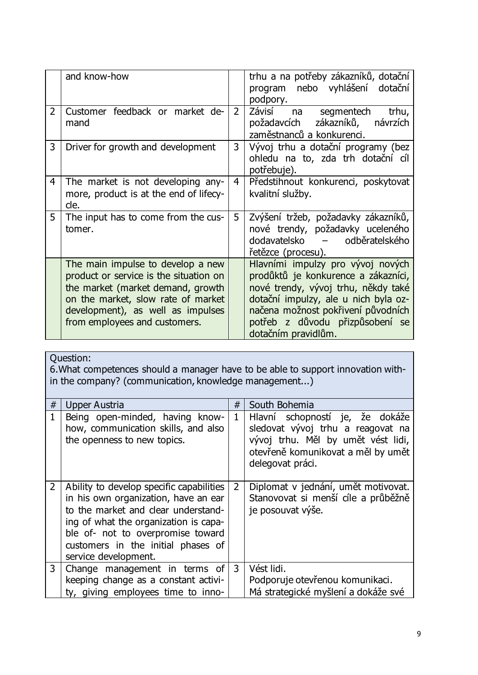|                | and know-how                                                                                                                                                                                                                 |                | trhu a na potřeby zákazníků, dotační<br>program nebo vyhlášení dotační<br>podpory.                                                                                                                                                                      |
|----------------|------------------------------------------------------------------------------------------------------------------------------------------------------------------------------------------------------------------------------|----------------|---------------------------------------------------------------------------------------------------------------------------------------------------------------------------------------------------------------------------------------------------------|
| $\overline{2}$ | Customer feedback or market de-<br>mand                                                                                                                                                                                      | $\overline{2}$ | Závisí na<br>segmentech<br>trhu,<br>požadavcích zákazníků,<br>návrzích<br>zaměstnanců a konkurenci.                                                                                                                                                     |
| 3              | Driver for growth and development                                                                                                                                                                                            | 3              | Vývoj trhu a dotační programy (bez<br>ohledu na to, zda trh dotační cíl<br>potřebuje).                                                                                                                                                                  |
| 4              | The market is not developing any-<br>more, product is at the end of lifecy-<br>cle.                                                                                                                                          | $\overline{4}$ | Předstihnout konkurenci, poskytovat<br>kvalitní služby.                                                                                                                                                                                                 |
| 5              | The input has to come from the cus-<br>tomer.                                                                                                                                                                                | 5              | Zvýšení tržeb, požadavky zákazníků,<br>nové trendy, požadavky uceleného<br>dodavatelsko – odběratelského<br>řetězce (procesu).                                                                                                                          |
|                | The main impulse to develop a new<br>product or service is the situation on<br>the market (market demand, growth<br>on the market, slow rate of market<br>development), as well as impulses<br>from employees and customers. |                | Hlavními impulzy pro vývoj nových<br>prodůktů je konkurence a zákazníci,<br>nové trendy, vývoj trhu, někdy také<br>dotační impulzy, ale u nich byla oz-<br>načena možnost pokřivení původních<br>potřeb z důvodu přizpůsobení se<br>dotačním pravidlům. |

6.What competences should a manager have to be able to support innovation within the company? (communication, knowledge management...)

| #              | Upper Austria                                                                                                                                                                                                                                                       | #              | South Bohemia                                                                                                                                                        |
|----------------|---------------------------------------------------------------------------------------------------------------------------------------------------------------------------------------------------------------------------------------------------------------------|----------------|----------------------------------------------------------------------------------------------------------------------------------------------------------------------|
| $\mathbf{1}$   | Being open-minded, having know-<br>how, communication skills, and also<br>the openness to new topics.                                                                                                                                                               | $\mathbf{1}$   | Hlavní schopností je, že dokáže<br>sledovat vývoj trhu a reagovat na<br>vývoj trhu. Měl by umět vést lidi,<br>otevřeně komunikovat a měl by umět<br>delegovat práci. |
| $\overline{2}$ | Ability to develop specific capabilities<br>in his own organization, have an ear<br>to the market and clear understand-<br>ing of what the organization is capa-<br>ble of- not to overpromise toward<br>customers in the initial phases of<br>service development. | $\overline{2}$ | Diplomat v jednání, umět motivovat.<br>Stanovovat si menší cíle a průběžně<br>je posouvat výše.                                                                      |
| 3              | Change management in terms of<br>keeping change as a constant activi-<br>ty, giving employees time to inno-                                                                                                                                                         | 3              | Vést lidi.<br>Podporuje otevřenou komunikaci.<br>Má strategické myšlení a dokáže své                                                                                 |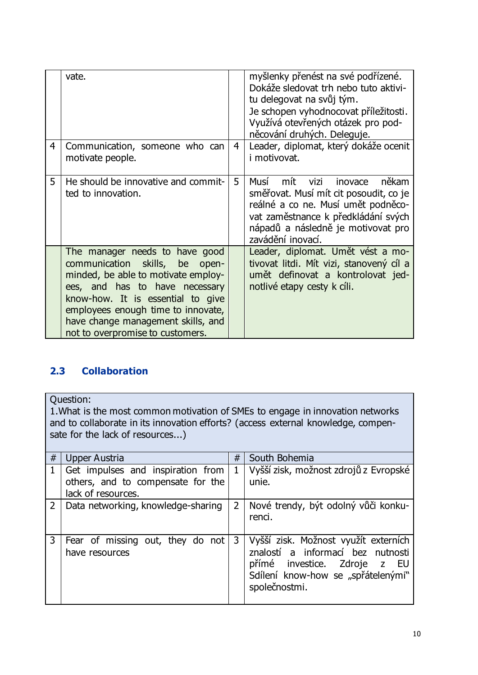|   | vate.                                                                                                                                                                                                                                                                                             |                | myšlenky přenést na své podřízené.<br>Dokáže sledovat trh nebo tuto aktivi-<br>tu delegovat na svůj tým.<br>Je schopen vyhodnocovat příležitosti.<br>Využívá otevřených otázek pro pod-<br>něcování druhých. Deleguje.    |
|---|---------------------------------------------------------------------------------------------------------------------------------------------------------------------------------------------------------------------------------------------------------------------------------------------------|----------------|---------------------------------------------------------------------------------------------------------------------------------------------------------------------------------------------------------------------------|
| 4 | Communication, someone who can<br>motivate people.                                                                                                                                                                                                                                                | $\overline{4}$ | Leader, diplomat, který dokáže ocenit<br><i>i</i> motivovat.                                                                                                                                                              |
| 5 | He should be innovative and commit-<br>ted to innovation.                                                                                                                                                                                                                                         | 5              | někam<br>mít<br>vizi<br>Musí<br>inovace<br>směřovat. Musí mít cit posoudit, co je<br>reálné a co ne. Musí umět podněco-<br>vat zaměstnance k předkládání svých<br>nápadů a následně je motivovat pro<br>zavádění inovací. |
|   | The manager needs to have good<br>communication skills, be<br>open-<br>minded, be able to motivate employ-<br>ees, and has to have necessary<br>know-how. It is essential to give<br>employees enough time to innovate,<br>have change management skills, and<br>not to overpromise to customers. |                | Leader, diplomat. Umět vést a mo-<br>tivovat litdi. Mít vizi, stanovený cíl a<br>umět definovat a kontrolovat jed-<br>notlivé etapy cesty k cíli.                                                                         |

## <span id="page-11-0"></span>**2.3 Collaboration**

Question:

1.What is the most common motivation of SMEs to engage in innovation networks and to collaborate in its innovation efforts? (access external knowledge, compensate for the lack of resources...)

| #              | Upper Austria                                           | #              | South Bohemia                                                                                                                                                    |
|----------------|---------------------------------------------------------|----------------|------------------------------------------------------------------------------------------------------------------------------------------------------------------|
|                | Get impulses and inspiration from                       | $\mathbf 1$    | Vyšší zisk, možnost zdrojů z Evropské                                                                                                                            |
|                | others, and to compensate for the<br>lack of resources. |                | unie.                                                                                                                                                            |
| $\overline{2}$ | Data networking, knowledge-sharing                      | $\overline{2}$ | Nové trendy, být odolný vůči konku-<br>renci.                                                                                                                    |
| 3              | Fear of missing out, they do not<br>have resources      | 3              | Vyšší zisk. Možnost využít externích<br>znalostí a informací bez nutnosti<br>přímé investice. Zdroje z EU<br>Sdílení know-how se "spřátelenými"<br>společnostmi. |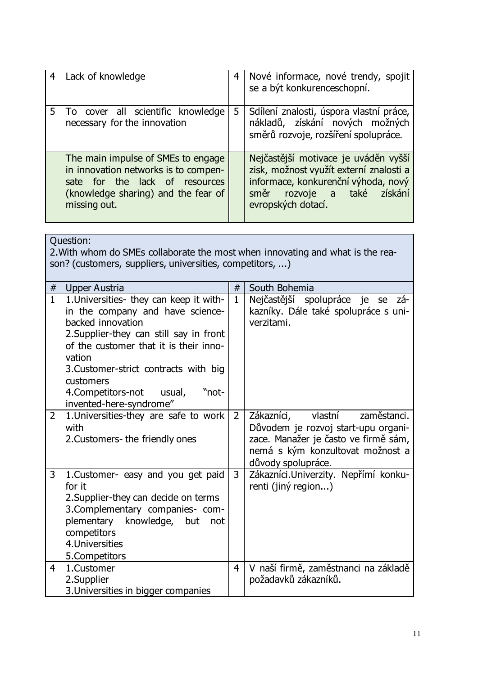| Lack of knowledge                                                                                                                                                   | $\overline{4}$ | Nové informace, nové trendy, spojit<br>se a být konkurenceschopní.                                                                                                          |
|---------------------------------------------------------------------------------------------------------------------------------------------------------------------|----------------|-----------------------------------------------------------------------------------------------------------------------------------------------------------------------------|
| To cover all scientific knowledge<br>necessary for the innovation                                                                                                   | 5              | Sdílení znalosti, úspora vlastní práce,<br>nákladů, získání nových možných<br>směrů rozvoje, rozšíření spolupráce.                                                          |
| The main impulse of SMEs to engage<br>in innovation networks is to compen-<br>sate for the lack of resources<br>(knowledge sharing) and the fear of<br>missing out. |                | Nejčastější motivace je uváděn vyšší<br>zisk, možnost využít externí znalosti a<br>informace, konkurenční výhoda, nový<br>směr rozvoje a také získání<br>evropských dotací. |

|                | Ouestion:<br>2. With whom do SMEs collaborate the most when innovating and what is the rea-<br>son? (customers, suppliers, universities, competitors, )                                                                                                                                                                |                |                                                                                                                                                                               |  |
|----------------|------------------------------------------------------------------------------------------------------------------------------------------------------------------------------------------------------------------------------------------------------------------------------------------------------------------------|----------------|-------------------------------------------------------------------------------------------------------------------------------------------------------------------------------|--|
| #              | <b>Upper Austria</b>                                                                                                                                                                                                                                                                                                   | #              | South Bohemia                                                                                                                                                                 |  |
| $\mathbf{1}$   | 1. Universities- they can keep it with-<br>in the company and have science-<br>backed innovation<br>2. Supplier-they can still say in front<br>of the customer that it is their inno-<br>vation<br>3. Customer-strict contracts with big<br>customers<br>4. Competitors-not usual,<br>"not-<br>invented-here-syndrome" | $\mathbf{1}$   | Nejčastější spolupráce je se<br>zá-<br>kazníky. Dále také spolupráce s uni-<br>verzitami.                                                                                     |  |
| $\overline{2}$ | 1. Universities-they are safe to work<br>with<br>2. Customers-the friendly ones                                                                                                                                                                                                                                        | $\overline{2}$ | Zákazníci,<br>vlastní<br>zaměstanci.<br>Důvodem je rozvoj start-upu organi-<br>zace. Manažer je často ve firmě sám,<br>nemá s kým konzultovat možnost a<br>důvody spolupráce. |  |
| $\mathbf{3}$   | 1. Customer- easy and you get paid<br>for it<br>2. Supplier-they can decide on terms<br>3. Complementary companies- com-<br>plementary<br>knowledge,<br>but<br>not<br>competitors<br>4. Universities<br>5.Competitors                                                                                                  | 3              | Zákazníci. Univerzity. Nepřímí konku-<br>renti (jiný region)                                                                                                                  |  |
| 4              | 1.Customer<br>2.Supplier<br>3. Universities in bigger companies                                                                                                                                                                                                                                                        | 4              | V naší firmě, zaměstnanci na základě<br>požadavků zákazníků.                                                                                                                  |  |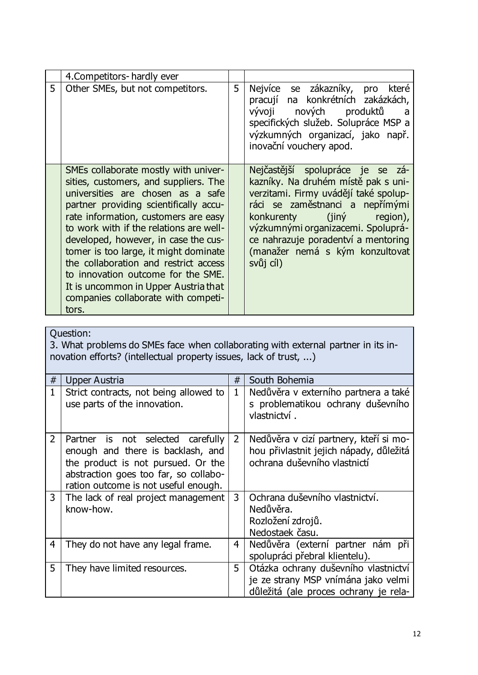|   | 4. Competitors - hardly ever                                                                                                                                                                                                                                                                                                                                                                                                                                                                            |   |                                                                                                                                                                                                                                                                                                                  |
|---|---------------------------------------------------------------------------------------------------------------------------------------------------------------------------------------------------------------------------------------------------------------------------------------------------------------------------------------------------------------------------------------------------------------------------------------------------------------------------------------------------------|---|------------------------------------------------------------------------------------------------------------------------------------------------------------------------------------------------------------------------------------------------------------------------------------------------------------------|
| 5 | Other SMEs, but not competitors.                                                                                                                                                                                                                                                                                                                                                                                                                                                                        | 5 | Nejvíce se zákazníky,<br>které<br>pro<br>pracují na konkrétních zakázkách,<br>vývoji nových produktů<br>a<br>specifických služeb. Solupráce MSP a<br>výzkumných organizací, jako např.<br>inovační vouchery apod.                                                                                                |
|   | SMEs collaborate mostly with univer-<br>sities, customers, and suppliers. The<br>universities are chosen as a safe<br>partner providing scientifically accu-<br>rate information, customers are easy<br>to work with if the relations are well-<br>developed, however, in case the cus-<br>tomer is too large, it might dominate<br>the collaboration and restrict access<br>to innovation outcome for the SME.<br>It is uncommon in Upper Austria that<br>companies collaborate with competi-<br>tors. |   | Nejčastější spolupráce je se zá-<br>kazníky. Na druhém místě pak s uni-<br>verzitami. Firmy uvádějí také spolup-<br>ráci se zaměstnanci a nepřímými<br>konkurenty (jiný<br>region),<br>výzkumnými organizacemi. Spoluprá-<br>ce nahrazuje poradentví a mentoring<br>(manažer nemá s kým konzultovat<br>svůj cíl) |

3. What problems do SMEs face when collaborating with external partner in its innovation efforts? (intellectual property issues, lack of trust, ...)

| #              | <b>Upper Austria</b>                                                                                                                                                                          | #              | South Bohemia                                                                                                        |
|----------------|-----------------------------------------------------------------------------------------------------------------------------------------------------------------------------------------------|----------------|----------------------------------------------------------------------------------------------------------------------|
| $\mathbf{1}$   | Strict contracts, not being allowed to<br>use parts of the innovation.                                                                                                                        | $\mathbf{1}$   | Nedůvěra v externího partnera a také<br>s problematikou ochrany duševního<br>vlastnictví.                            |
| $\overline{2}$ | Partner is not selected carefully<br>enough and there is backlash, and<br>the product is not pursued. Or the<br>abstraction goes too far, so collabo-<br>ration outcome is not useful enough. | $\overline{2}$ | Nedůvěra v cizí partnery, kteří si mo-<br>hou přivlastnit jejich nápady, důležitá<br>ochrana duševního vlastnictí    |
| 3              | The lack of real project management<br>know-how.                                                                                                                                              | 3              | Ochrana duševního vlastnictví.<br>Nedůvěra.<br>Rozložení zdrojů.<br>Nedostaek času.                                  |
| 4              | They do not have any legal frame.                                                                                                                                                             | 4              | Nedůvěra (externí partner nám při<br>spolupráci přebral klientelu).                                                  |
| 5              | They have limited resources.                                                                                                                                                                  | 5              | Otázka ochrany duševního vlastnictví<br>je ze strany MSP vnímána jako velmi<br>důležitá (ale proces ochrany je rela- |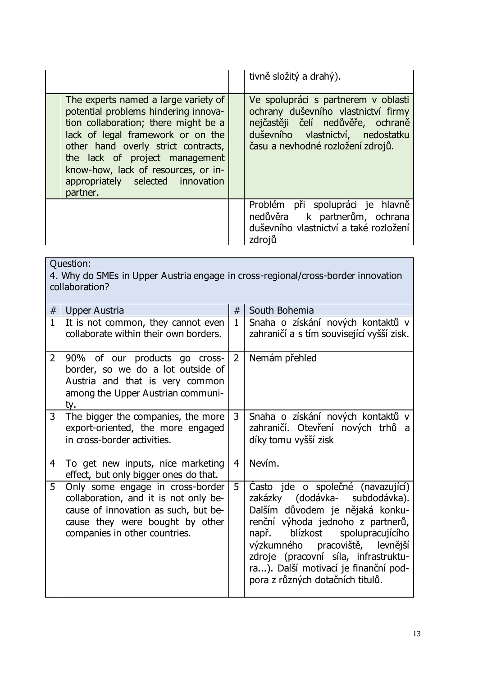|                                                                                                                                                                                                                                                                                                                            | tivně složitý a drahý).                                                                                                                                                                   |
|----------------------------------------------------------------------------------------------------------------------------------------------------------------------------------------------------------------------------------------------------------------------------------------------------------------------------|-------------------------------------------------------------------------------------------------------------------------------------------------------------------------------------------|
| The experts named a large variety of<br>potential problems hindering innova-<br>tion collaboration; there might be a<br>lack of legal framework or on the<br>other hand overly strict contracts,<br>the lack of project management<br>know-how, lack of resources, or in-<br>appropriately selected innovation<br>partner. | Ve spolupráci s partnerem v oblasti<br>ochrany duševního vlastnictví firmy<br>nejčastěji čelí nedůvěře, ochraně<br>duševního vlastnictví, nedostatku<br>času a nevhodné rozložení zdrojů. |
|                                                                                                                                                                                                                                                                                                                            | Problém při spolupráci je hlavně<br>nedůvěra k partnerům, ochrana<br>duševního vlastnictví a také rozložení<br>zdrojů                                                                     |

| Question:<br>4. Why do SMEs in Upper Austria engage in cross-regional/cross-border innovation<br>collaboration? |                                                                                                                                                                                       |                |                                                                                                                                                                                                                                                                                                                                             |
|-----------------------------------------------------------------------------------------------------------------|---------------------------------------------------------------------------------------------------------------------------------------------------------------------------------------|----------------|---------------------------------------------------------------------------------------------------------------------------------------------------------------------------------------------------------------------------------------------------------------------------------------------------------------------------------------------|
| $\#$                                                                                                            | <b>Upper Austria</b>                                                                                                                                                                  | $\#$           | South Bohemia                                                                                                                                                                                                                                                                                                                               |
| $\mathbf{1}$                                                                                                    | It is not common, they cannot even<br>collaborate within their own borders.                                                                                                           | $\mathbf{1}$   | Snaha o získání nových kontaktů v<br>zahraničí a s tím související vyšší zisk.                                                                                                                                                                                                                                                              |
| $\overline{2}$                                                                                                  | 90% of our products go cross-<br>border, so we do a lot outside of<br>Austria and that is very common<br>among the Upper Austrian communi-<br>ty.                                     | $\overline{2}$ | Nemám přehled                                                                                                                                                                                                                                                                                                                               |
| 3                                                                                                               | The bigger the companies, the more<br>export-oriented, the more engaged<br>in cross-border activities.                                                                                | $\mathbf{3}$   | Snaha o získání nových kontaktů v<br>zahraničí. Otevření nových trhů a<br>díky tomu vyšší zisk                                                                                                                                                                                                                                              |
| $\overline{4}$                                                                                                  | To get new inputs, nice marketing<br>effect, but only bigger ones do that.                                                                                                            | $\overline{4}$ | Nevím.                                                                                                                                                                                                                                                                                                                                      |
| 5                                                                                                               | Only some engage in cross-border<br>collaboration, and it is not only be-<br>cause of innovation as such, but be-<br>cause they were bought by other<br>companies in other countries. | 5              | Casto jde o společné (navazující)<br>zakázky (dodávka- subdodávka).<br>Dalším důvodem je nějaká konku-<br>renční výhoda jednoho z partnerů,<br>blízkost<br>spolupracujícího<br>např.<br>výzkumného pracoviště, levnější<br>zdroje (pracovní síla, infrastruktu-<br>ra). Další motivací je finanční pod-<br>pora z různých dotačních titulů. |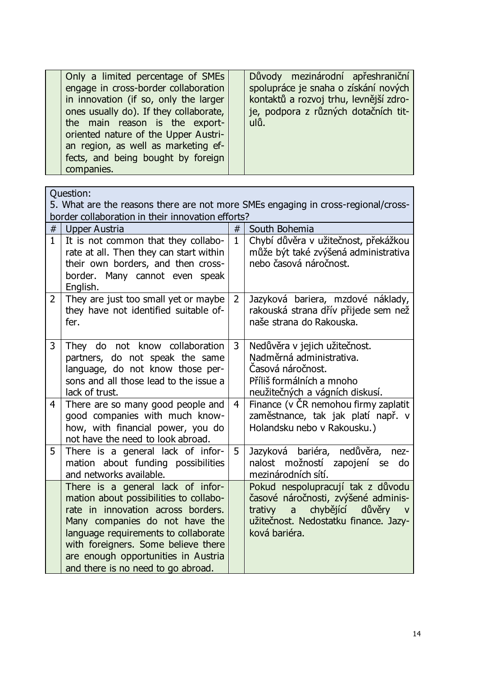| Důvody mezinárodní apřeshraniční<br>Only a limited percentage of SMEs<br>spolupráce je snaha o získání nových<br>engage in cross-border collaboration                                                                                                                                                                                          |
|------------------------------------------------------------------------------------------------------------------------------------------------------------------------------------------------------------------------------------------------------------------------------------------------------------------------------------------------|
| kontaktů a rozvoj trhu, levnější zdro-<br>in innovation (if so, only the larger<br>je, podpora z různých dotačních tit-<br>ones usually do). If they collaborate,<br>ulů.<br>the main reason is the export-<br>oriented nature of the Upper Austri-<br>an region, as well as marketing ef-<br>fects, and being bought by foreign<br>companies. |

|                                                   | Question:                                                                                                                                                                                                                                                                                                       |                |                                                                                                                                                                                           |
|---------------------------------------------------|-----------------------------------------------------------------------------------------------------------------------------------------------------------------------------------------------------------------------------------------------------------------------------------------------------------------|----------------|-------------------------------------------------------------------------------------------------------------------------------------------------------------------------------------------|
|                                                   | 5. What are the reasons there are not more SMEs engaging in cross-regional/cross-                                                                                                                                                                                                                               |                |                                                                                                                                                                                           |
| border collaboration in their innovation efforts? |                                                                                                                                                                                                                                                                                                                 |                |                                                                                                                                                                                           |
| #                                                 | <b>Upper Austria</b>                                                                                                                                                                                                                                                                                            | #              | South Bohemia                                                                                                                                                                             |
| $\mathbf{1}$                                      | It is not common that they collabo-<br>rate at all. Then they can start within<br>their own borders, and then cross-<br>border. Many cannot even speak<br>English.                                                                                                                                              | $\mathbf{1}$   | Chybí důvěra v užitečnost, překážkou<br>může být také zvýšená administrativa<br>nebo časová náročnost.                                                                                    |
| $\overline{2}$                                    | They are just too small yet or maybe<br>they have not identified suitable of-<br>fer.                                                                                                                                                                                                                           | $\overline{2}$ | Jazyková bariera, mzdové náklady,<br>rakouská strana dřív přijede sem než<br>naše strana do Rakouska.                                                                                     |
| 3                                                 | They do not know collaboration<br>partners, do not speak the same<br>language, do not know those per-<br>sons and all those lead to the issue a<br>lack of trust.                                                                                                                                               | 3              | Nedůvěra v jejich užitečnost.<br>Nadměrná administrativa.<br>Casová náročnost.<br>Příliš formálních a mnoho<br>neužitečných a vágních diskusí.                                            |
| $\overline{4}$                                    | There are so many good people and<br>good companies with much know-<br>how, with financial power, you do<br>not have the need to look abroad.                                                                                                                                                                   | $\overline{4}$ | Finance (v ČR nemohou firmy zaplatit<br>zaměstnance, tak jak platí např. v<br>Holandsku nebo v Rakousku.)                                                                                 |
| 5                                                 | There is a general lack of infor-<br>mation about funding possibilities<br>and networks available.                                                                                                                                                                                                              | 5              | Jazyková bariéra, nedůvěra,<br>nez-<br>nalost možností<br>zapojení se do<br>mezinárodních sítí.                                                                                           |
|                                                   | There is a general lack of infor-<br>mation about possibilities to collabo-<br>rate in innovation across borders.<br>Many companies do not have the<br>language requirements to collaborate<br>with foreigners. Some believe there<br>are enough opportunities in Austria<br>and there is no need to go abroad. |                | Pokud nespolupracují tak z důvodu<br>časové náročnosti, zvýšené adminis-<br>chybějící<br>důvěry<br>trativy<br>a<br>$\mathsf{V}$<br>užitečnost. Nedostatku finance. Jazy-<br>ková bariéra. |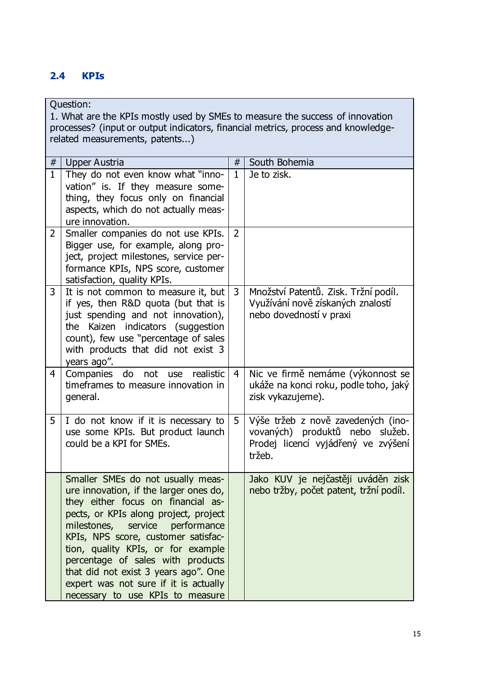# <span id="page-16-0"></span>**2.4 KPIs**

Question:

1. What are the KPIs mostly used by SMEs to measure the success of innovation processes? (input or output indicators, financial metrics, process and knowledgerelated measurements, patents...)

| $\#$           | Upper Austria                                                                                                                                                                                                                                                                                                                                                                                                                              | #              | South Bohemia                                                                                                          |
|----------------|--------------------------------------------------------------------------------------------------------------------------------------------------------------------------------------------------------------------------------------------------------------------------------------------------------------------------------------------------------------------------------------------------------------------------------------------|----------------|------------------------------------------------------------------------------------------------------------------------|
| $\mathbf{1}$   | They do not even know what "inno-<br>vation" is. If they measure some-<br>thing, they focus only on financial<br>aspects, which do not actually meas-<br>ure innovation.                                                                                                                                                                                                                                                                   | $\mathbf{1}$   | Je to zisk.                                                                                                            |
| $\overline{2}$ | Smaller companies do not use KPIs.<br>Bigger use, for example, along pro-<br>ject, project milestones, service per-<br>formance KPIs, NPS score, customer<br>satisfaction, quality KPIs.                                                                                                                                                                                                                                                   | $\overline{2}$ |                                                                                                                        |
| 3              | It is not common to measure it, but<br>if yes, then R&D quota (but that is<br>just spending and not innovation),<br>the Kaizen indicators (suggestion<br>count), few use "percentage of sales<br>with products that did not exist 3<br>years ago".                                                                                                                                                                                         | 3              | Množství Patentů. Zisk. Tržní podíl.<br>Využívání nově získaných znalostí<br>nebo dovedností v praxi                   |
| $\overline{4}$ | Companies<br>do<br>realistic<br>not<br>use<br>timeframes to measure innovation in<br>general.                                                                                                                                                                                                                                                                                                                                              | $\overline{4}$ | Nic ve firmě nemáme (výkonnost se<br>ukáže na konci roku, podle toho, jaký<br>zisk vykazujeme).                        |
| 5              | I do not know if it is necessary to<br>use some KPIs. But product launch<br>could be a KPI for SMEs.                                                                                                                                                                                                                                                                                                                                       | 5 <sup>1</sup> | Výše tržeb z nově zavedených (ino-<br>vovaných) produktů nebo služeb.<br>Prodej licencí vyjádřený ve zvýšení<br>tržeb. |
|                | Smaller SMEs do not usually meas-<br>ure innovation, if the larger ones do,<br>they either focus on financial as-<br>pects, or KPIs along project, project<br>service<br>milestones,<br>performance<br>KPIs, NPS score, customer satisfac-<br>tion, quality KPIs, or for example<br>percentage of sales with products<br>that did not exist 3 years ago". One<br>expert was not sure if it is actually<br>necessary to use KPIs to measure |                | Jako KUV je nejčastěji uváděn zisk<br>nebo tržby, počet patent, tržní podíl.                                           |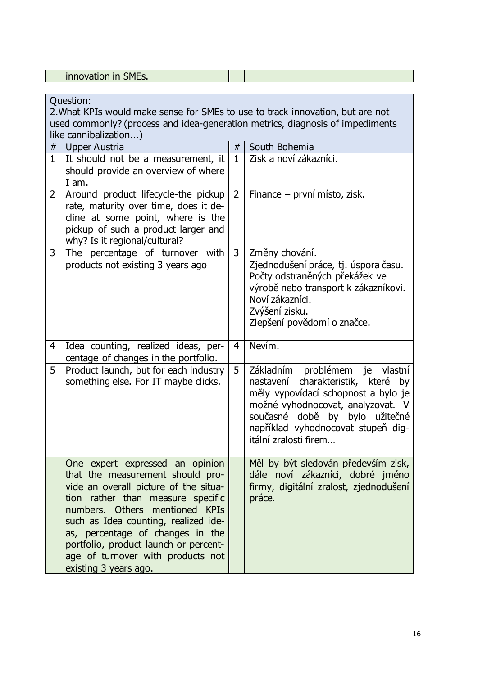|  | $-$<br>. .<br>$\sim$<br>-------------- |  |
|--|----------------------------------------|--|
|  |                                        |  |

|                | Ouestion:<br>2. What KPIs would make sense for SMEs to use to track innovation, but are not<br>used commonly? (process and idea-generation metrics, diagnosis of impediments<br>like cannibalization)                                                                                                                                                                  |                |                                                                                                                                                                                                                                                      |  |  |
|----------------|------------------------------------------------------------------------------------------------------------------------------------------------------------------------------------------------------------------------------------------------------------------------------------------------------------------------------------------------------------------------|----------------|------------------------------------------------------------------------------------------------------------------------------------------------------------------------------------------------------------------------------------------------------|--|--|
| $\#$           | <b>Upper Austria</b>                                                                                                                                                                                                                                                                                                                                                   | #              | South Bohemia                                                                                                                                                                                                                                        |  |  |
| $\mathbf{1}$   | It should not be a measurement, it<br>should provide an overview of where<br>I am.                                                                                                                                                                                                                                                                                     | $\mathbf{1}$   | Zisk a noví zákazníci.                                                                                                                                                                                                                               |  |  |
| $\overline{2}$ | Around product lifecycle-the pickup<br>rate, maturity over time, does it de-<br>cline at some point, where is the<br>pickup of such a product larger and<br>why? Is it regional/cultural?                                                                                                                                                                              | $\overline{2}$ | Finance – první místo, zisk.                                                                                                                                                                                                                         |  |  |
| $\mathbf{3}$   | The percentage of turnover with<br>products not existing 3 years ago                                                                                                                                                                                                                                                                                                   | 3              | Změny chování.<br>Zjednodušení práce, tj. úspora času.<br>Počty odstraněných překážek ve<br>výrobě nebo transport k zákazníkovi.<br>Noví zákazníci.<br>Zvýšení zisku.<br>Zlepšení povědomí o značce.                                                 |  |  |
| $\overline{4}$ | Idea counting, realized ideas, per-<br>centage of changes in the portfolio.                                                                                                                                                                                                                                                                                            | 4              | $Nev(m)$ .                                                                                                                                                                                                                                           |  |  |
| 5              | Product launch, but for each industry<br>something else. For IT maybe clicks.                                                                                                                                                                                                                                                                                          | 5              | Základním problémem je vlastní<br>charakteristik, které by<br>nastavení<br>měly vypovídací schopnost a bylo je<br>možné vyhodnocovat, analyzovat. V<br>současné době by bylo užitečné<br>například vyhodnocovat stupeň dig-<br>itální zralosti firem |  |  |
|                | One expert expressed an opinion<br>that the measurement should pro-<br>vide an overall picture of the situa-<br>tion rather than measure specific<br>numbers. Others mentioned KPIs<br>such as Idea counting, realized ide-<br>as, percentage of changes in the<br>portfolio, product launch or percent-<br>age of turnover with products not<br>existing 3 years ago. |                | Měl by být sledován především zisk,<br>dále noví zákazníci, dobré jméno<br>firmy, digitální zralost, zjednodušení<br>práce.                                                                                                                          |  |  |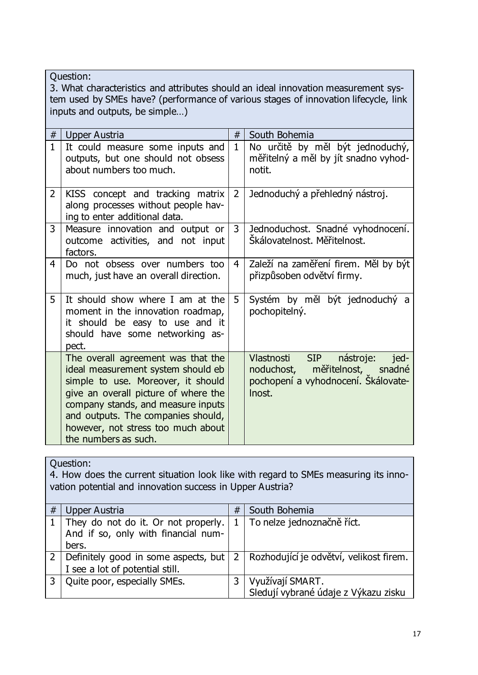Question: 3. What characteristics and attributes should an ideal innovation measurement system used by SMEs have? (performance of various stages of innovation lifecycle, link inputs and outputs, be simple…) # Upper Austria # South Bohemia  $1 \mid$  It could measure some inputs and outputs, but one should not obsess about numbers too much. 1 No určitě by měl být jednoduchý, měřitelný a měl by jít snadno vyhodnotit.  $2$  KISS concept and tracking matrix along processes without people having to enter additional data. 2 Jednoduchý a přehledný nástroj. 3 Measure innovation and output or outcome activities, and not input factors. 3 Jednoduchost. Snadné vyhodnocení. Škálovatelnost. Měřitelnost. 4 Do not obsess over numbers too much, just have an overall direction. 4 Zaleží na zaměření firem. Měl by být přizpůsoben odvětví firmy.  $5 \mid$  It should show where I am at the moment in the innovation roadmap, it should be easy to use and it should have some networking aspect. 5 Systém by měl být jednoduchý a pochopitelný. The overall agreement was that the ideal measurement system should eb simple to use. Moreover, it should give an overall picture of where the company stands, and measure inputs and outputs. The companies should, Vlastnosti SIP nástroje: jednoduchost, měřitelnost, snadné pochopení a vyhodnocení. Škálovatelnost.

| Question:<br>4. How does the current situation look like with regard to SMEs measuring its inno-<br>vation potential and innovation success in Upper Austria? |                                                                                     |   |                                                          |  |  |
|---------------------------------------------------------------------------------------------------------------------------------------------------------------|-------------------------------------------------------------------------------------|---|----------------------------------------------------------|--|--|
| #                                                                                                                                                             | <b>Upper Austria</b>                                                                | # | South Bohemia                                            |  |  |
|                                                                                                                                                               | They do not do it. Or not properly.<br>And if so, only with financial num-<br>bers. |   | To nelze jednoznačně říct.                               |  |  |
| 2                                                                                                                                                             | Definitely good in some aspects, but<br>I see a lot of potential still.             | 2 | Rozhodující je odvětví, velikost firem.                  |  |  |
| 3                                                                                                                                                             | Quite poor, especially SMEs.                                                        | 3 | Využívají SMART.<br>Sledují vybrané údaje z Výkazu zisku |  |  |

however, not stress too much about

the numbers as such.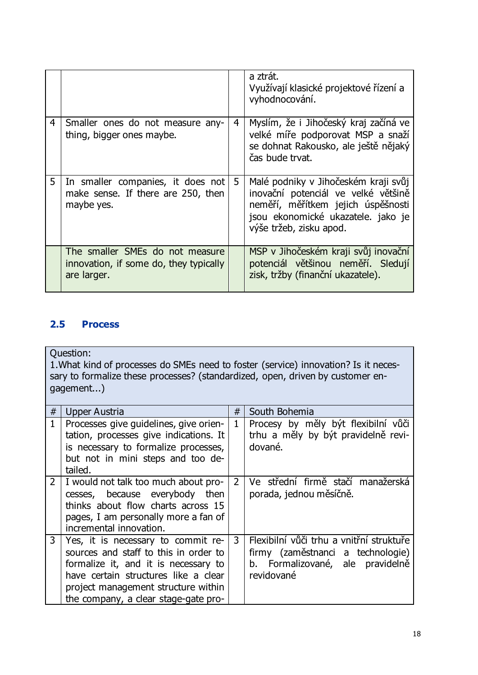|                                                                                            |   | a ztrát.<br>Využívají klasické projektové řízení a<br>vyhodnocování.                                                                                                               |
|--------------------------------------------------------------------------------------------|---|------------------------------------------------------------------------------------------------------------------------------------------------------------------------------------|
| 4<br>Smaller ones do not measure any-<br>thing, bigger ones maybe.                         | 4 | Myslím, že i Jihočeský kraj začíná ve<br>velké míře podporovat MSP a snaží<br>se dohnat Rakousko, ale ještě nějaký<br>čas bude trvat.                                              |
| 5<br>In smaller companies, it does not<br>make sense. If there are 250, then<br>maybe yes. | 5 | Malé podniky v Jihočeském kraji svůj<br>inovační potenciál ve velké většině<br>neměří, měřítkem jejich úspěšnosti<br>jsou ekonomické ukazatele. jako je<br>výše tržeb, zisku apod. |
| The smaller SMEs do not measure<br>innovation, if some do, they typically<br>are larger.   |   | MSP v Jihočeském kraji svůj inovační<br>potenciál většinou neměří. Sledují<br>zisk, tržby (finanční ukazatele).                                                                    |

# <span id="page-19-0"></span>**2.5 Process**

Question:

1.What kind of processes do SMEs need to foster (service) innovation? Is it necessary to formalize these processes? (standardized, open, driven by customer engagement...)

| $\#$         | Upper Austria                                                                                                                                                                                                                              | #              | South Bohemia                                                                                                                   |
|--------------|--------------------------------------------------------------------------------------------------------------------------------------------------------------------------------------------------------------------------------------------|----------------|---------------------------------------------------------------------------------------------------------------------------------|
|              | Processes give guidelines, give orien-<br>tation, processes give indications. It<br>is necessary to formalize processes,<br>but not in mini steps and too de-<br>tailed.                                                                   | $\mathbf{1}$   | Procesy by měly být flexibilní vůči<br>trhu a měly by být pravidelně revi-<br>dované.                                           |
| $\mathbf{2}$ | I would not talk too much about pro-<br>cesses, because everybody then<br>thinks about flow charts across 15<br>pages, I am personally more a fan of<br>incremental innovation.                                                            | $\overline{2}$ | Ve střední firmě stačí manažerská<br>porada, jednou měsíčně.                                                                    |
| 3            | Yes, it is necessary to commit re-<br>sources and staff to this in order to<br>formalize it, and it is necessary to<br>have certain structures like a clear<br>project management structure within<br>the company, a clear stage-gate pro- | 3              | Flexibilní vůči trhu a vnitřní struktuře<br>firmy (zaměstnanci a technologie)<br>b. Formalizované, ale pravidelně<br>revidované |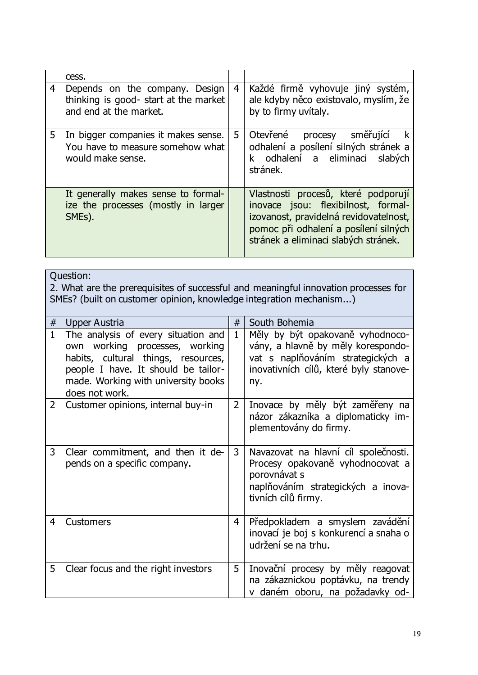|                | cess.                                                                                             |                |                                                                                                                                                                                                       |
|----------------|---------------------------------------------------------------------------------------------------|----------------|-------------------------------------------------------------------------------------------------------------------------------------------------------------------------------------------------------|
| $\overline{4}$ | Depends on the company. Design<br>thinking is good- start at the market<br>and end at the market. | $\overline{4}$ | Každé firmě vyhovuje jiný systém,<br>ale kdyby něco existovalo, myslím, že<br>by to firmy uvitaly.                                                                                                    |
| 5              | In bigger companies it makes sense.<br>You have to measure somehow what<br>would make sense.      | 5              | Otevřené procesy směřující<br>$\mathbf{k}$<br>odhalení a posílení silných stránek a<br>k odhalení a eliminaci slabých<br>stránek.                                                                     |
|                | It generally makes sense to formal-<br>ize the processes (mostly in larger<br>SMEs).              |                | Vlastnosti procesů, které podporují<br>inovace jsou: flexibilnost, formal-<br>izovanost, pravidelná revidovatelnost,<br>pomoc při odhalení a posílení silných<br>stránek a eliminaci slabých stránek. |

|                | Question:<br>2. What are the prerequisites of successful and meaningful innovation processes for<br>SMEs? (built on customer opinion, knowledge integration mechanism)                                       |                |                                                                                                                                                              |  |  |  |
|----------------|--------------------------------------------------------------------------------------------------------------------------------------------------------------------------------------------------------------|----------------|--------------------------------------------------------------------------------------------------------------------------------------------------------------|--|--|--|
| #              | <b>Upper Austria</b>                                                                                                                                                                                         | #              | South Bohemia                                                                                                                                                |  |  |  |
| $\mathbf{1}$   | The analysis of every situation and<br>own working processes, working<br>habits, cultural things, resources,<br>people I have. It should be tailor-<br>made. Working with university books<br>does not work. | $\mathbf{1}$   | Měly by být opakovaně vyhodnoco-<br>vány, a hlavně by měly korespondo-<br>vat s naplňováním strategických a<br>inovativních cílů, které byly stanove-<br>ny. |  |  |  |
| $\overline{2}$ | Customer opinions, internal buy-in                                                                                                                                                                           | $\overline{2}$ | Inovace by měly být zaměřeny na<br>názor zákazníka a diplomaticky im-<br>plementovány do firmy.                                                              |  |  |  |
| 3              | Clear commitment, and then it de-<br>pends on a specific company.                                                                                                                                            | 3              | Navazovat na hlavní cíl společnosti.<br>Procesy opakovaně vyhodnocovat a<br>porovnávat s<br>naplňováním strategických a inova-<br>tivních cílů firmy.        |  |  |  |
| 4              | <b>Customers</b>                                                                                                                                                                                             | 4              | Předpokladem a smyslem zavádění<br>inovací je boj s konkurencí a snaha o<br>udržení se na trhu.                                                              |  |  |  |
| 5              | Clear focus and the right investors                                                                                                                                                                          | 5              | Inovační procesy by měly reagovat<br>na zákaznickou poptávku, na trendy<br>v daném oboru, na požadavky od-                                                   |  |  |  |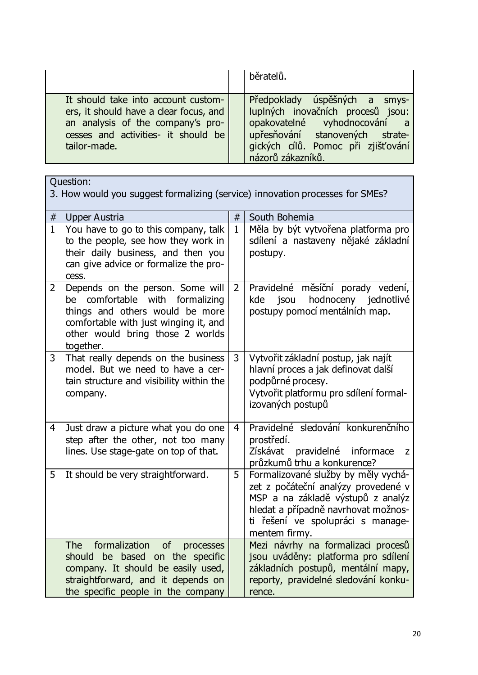|                                                                                                                                                                           | běratelů.                                                                                                                                                                                        |
|---------------------------------------------------------------------------------------------------------------------------------------------------------------------------|--------------------------------------------------------------------------------------------------------------------------------------------------------------------------------------------------|
| It should take into account custom-<br>ers, it should have a clear focus, and<br>an analysis of the company's pro-<br>cesses and activities- it should be<br>tailor-made. | Předpoklady úspěšných a smys-<br>luplných inovačních procesů jsou:<br>opakovatelné vyhodnocování a<br>upřesňování stanovených strate-<br>gických cílů. Pomoc při zjišťování<br>názorů zákazníků. |

|                | Question:<br>3. How would you suggest formalizing (service) innovation processes for SMEs?                                                                                                          |              |                                                                                                                                                                                                              |  |  |
|----------------|-----------------------------------------------------------------------------------------------------------------------------------------------------------------------------------------------------|--------------|--------------------------------------------------------------------------------------------------------------------------------------------------------------------------------------------------------------|--|--|
| $\#$           | <b>Upper Austria</b>                                                                                                                                                                                | #            | South Bohemia                                                                                                                                                                                                |  |  |
| $\mathbf{1}$   | You have to go to this company, talk<br>to the people, see how they work in<br>their daily business, and then you<br>can give advice or formalize the pro-<br>cess.                                 | $\mathbf{1}$ | Měla by být vytvořena platforma pro<br>sdílení a nastaveny nějaké základní<br>postupy.                                                                                                                       |  |  |
| $\overline{2}$ | Depends on the person. Some will<br>comfortable with formalizing<br>be<br>things and others would be more<br>comfortable with just winging it, and<br>other would bring those 2 worlds<br>together. | 2            | Pravidelné měsíční porady vedení,<br>jsou<br>hodnoceny jednotlivé<br>kde<br>postupy pomocí mentálních map.                                                                                                   |  |  |
| 3              | That really depends on the business<br>model. But we need to have a cer-<br>tain structure and visibility within the<br>company.                                                                    | 3            | Vytvořit základní postup, jak najít<br>hlavní proces a jak definovat další<br>podpůrné procesy.<br>Vytvořit platformu pro sdílení formal-<br>izovaných postupů                                               |  |  |
| 4              | Just draw a picture what you do one<br>step after the other, not too many<br>lines. Use stage-gate on top of that.                                                                                  | 4            | Pravidelné sledování konkurenčního<br>prostředí.<br>Získávat<br>pravidelné informace<br>Z<br>průzkumů trhu a konkurence?                                                                                     |  |  |
| 5              | It should be very straightforward.                                                                                                                                                                  | 5            | Formalizované služby by měly vychá-<br>zet z počáteční analýzy provedené v<br>MSP a na základě výstupů z analýz<br>hledat a případně navrhovat možnos-<br>ti řešení ve spolupráci s manage-<br>mentem firmy. |  |  |
|                | formalization of<br><b>The</b><br>processes<br>should be based on the specific<br>company. It should be easily used,<br>straightforward, and it depends on<br>the specific people in the company    |              | Mezi návrhy na formalizaci procesů<br>jsou uváděny: platforma pro sdílení<br>základních postupů, mentální mapy,<br>reporty, pravidelné sledování konku-<br>rence.                                            |  |  |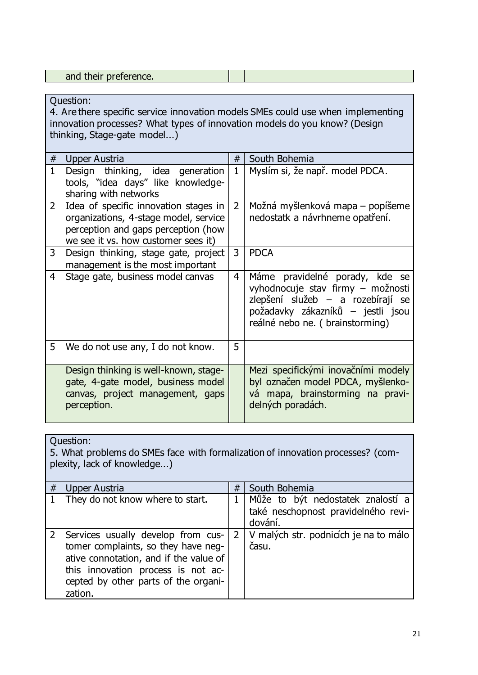| --- |
|-----|
|-----|

4. Are there specific service innovation models SMEs could use when implementing innovation processes? What types of innovation models do you know? (Design thinking, Stage-gate model...)

| #              | Upper Austria                                                                                                                                                | #              | South Bohemia                                                                                                                                                                    |
|----------------|--------------------------------------------------------------------------------------------------------------------------------------------------------------|----------------|----------------------------------------------------------------------------------------------------------------------------------------------------------------------------------|
| $\mathbf{1}$   | Design thinking, idea generation<br>tools, "idea days" like knowledge-<br>sharing with networks                                                              | $\mathbf{1}$   | Myslím si, že např. model PDCA.                                                                                                                                                  |
| $\overline{2}$ | Idea of specific innovation stages in<br>organizations, 4-stage model, service<br>perception and gaps perception (how<br>we see it vs. how customer sees it) | $\overline{2}$ | Možná myšlenková mapa – popíšeme<br>nedostatk a návrhneme opatření.                                                                                                              |
| 3              | Design thinking, stage gate, project<br>management is the most important                                                                                     | 3              | <b>PDCA</b>                                                                                                                                                                      |
| 4              | Stage gate, business model canvas                                                                                                                            | $\overline{4}$ | Máme pravidelné porady, kde se<br>vyhodnocuje stav firmy - možnosti<br>zlepšení služeb – a rozebírají se<br>požadavky zákazníků – jestli jsou<br>reálné nebo ne. (brainstorming) |
| 5              | We do not use any, I do not know.                                                                                                                            | 5              |                                                                                                                                                                                  |
|                | Design thinking is well-known, stage-<br>gate, 4-gate model, business model<br>canvas, project management, gaps<br>perception.                               |                | Mezi specifickými inovačními modely<br>byl označen model PDCA, myšlenko-<br>vá mapa, brainstorming na pravi-<br>delných poradách.                                                |

Question:

5. What problems do SMEs face with formalization of innovation processes? (complexity, lack of knowledge...)

| # | Upper Austria                                                                                                                                                                                                | # | South Bohemia                                                                           |
|---|--------------------------------------------------------------------------------------------------------------------------------------------------------------------------------------------------------------|---|-----------------------------------------------------------------------------------------|
|   | They do not know where to start.                                                                                                                                                                             |   | 1   Může to být nedostatek znalostí a<br>také neschopnost pravidelného revi-<br>dování. |
|   | Services usually develop from cus-<br>tomer complaints, so they have neg-<br>ative connotation, and if the value of<br>this innovation process is not ac-<br>cepted by other parts of the organi-<br>zation. |   | 2   V malých str. podnicích je na to málo<br>času.                                      |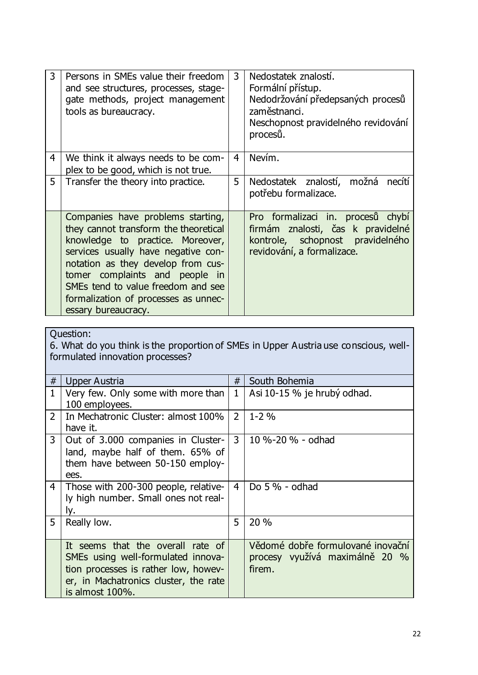| 3 | Persons in SMEs value their freedom<br>and see structures, processes, stage-<br>gate methods, project management<br>tools as bureaucracy.                                                                                                                                                                                          | 3              | Nedostatek znalostí.<br>Formální přístup.<br>Nedodržování předepsaných procesů<br>zaměstnanci.<br>Neschopnost pravidelného revidování<br>procesů. |
|---|------------------------------------------------------------------------------------------------------------------------------------------------------------------------------------------------------------------------------------------------------------------------------------------------------------------------------------|----------------|---------------------------------------------------------------------------------------------------------------------------------------------------|
| 4 | We think it always needs to be com-<br>plex to be good, which is not true.                                                                                                                                                                                                                                                         | $\overline{4}$ | Nevím.                                                                                                                                            |
| 5 | Transfer the theory into practice.                                                                                                                                                                                                                                                                                                 | 5              | Nedostatek znalostí, možná necítí<br>potřebu formalizace.                                                                                         |
|   | Companies have problems starting,<br>they cannot transform the theoretical<br>knowledge to practice. Moreover,<br>services usually have negative con-<br>notation as they develop from cus-<br>tomer complaints and people in<br>SMEs tend to value freedom and see<br>formalization of processes as unnec-<br>essary bureaucracy. |                | Pro formalizaci in. procesů chybí<br>firmám znalosti, čas k pravidelné<br>kontrole, schopnost pravidelného<br>revidování, a formalizace.          |

6. What do you think is the proportion of SMEs in Upper Austria use conscious, wellformulated innovation processes?

| #              | <b>Upper Austria</b>                  | #              | South Bohemia                     |  |  |  |
|----------------|---------------------------------------|----------------|-----------------------------------|--|--|--|
| $\mathbf{1}$   | Very few. Only some with more than    | $\mathbf{1}$   | Asi 10-15 % je hrubý odhad.       |  |  |  |
|                | 100 employees.                        |                |                                   |  |  |  |
| $\overline{2}$ | In Mechatronic Cluster: almost 100%   | $\overline{2}$ | $1 - 2\%$                         |  |  |  |
|                | have it.                              |                |                                   |  |  |  |
| 3              | Out of 3.000 companies in Cluster-    | $\mathbf{3}$   | 10 %-20 % - odhad                 |  |  |  |
|                | land, maybe half of them. 65% of      |                |                                   |  |  |  |
|                | them have between 50-150 employ-      |                |                                   |  |  |  |
|                | ees.                                  |                |                                   |  |  |  |
| $\overline{4}$ | Those with 200-300 people, relative-  | 4              | Do 5 % - odhad                    |  |  |  |
|                | ly high number. Small ones not real-  |                |                                   |  |  |  |
|                | Iy.                                   |                |                                   |  |  |  |
| 5              | Really low.                           | 5              | 20 %                              |  |  |  |
|                |                                       |                |                                   |  |  |  |
|                | It seems that the overall rate of     |                | Vědomé dobře formulované inovační |  |  |  |
|                | SMEs using well-formulated innova-    |                | procesy využívá maximálně 20 %    |  |  |  |
|                | tion processes is rather low, howev-  |                | firem.                            |  |  |  |
|                | er, in Machatronics cluster, the rate |                |                                   |  |  |  |
|                | is almost 100%.                       |                |                                   |  |  |  |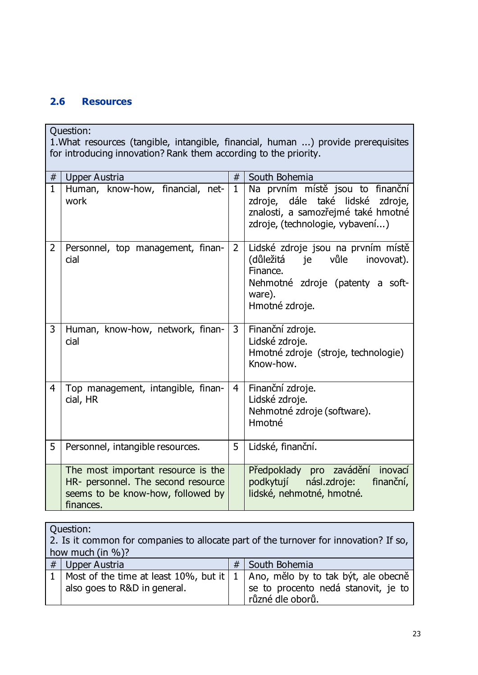### <span id="page-24-0"></span>**2.6 Resources**

Question: 1.What resources (tangible, intangible, financial, human ...) provide prerequisites for introducing innovation? Rank them according to the priority.

| #              | <b>Upper Austria</b>                                                                                                       | #              | South Bohemia                                                                                                                                        |
|----------------|----------------------------------------------------------------------------------------------------------------------------|----------------|------------------------------------------------------------------------------------------------------------------------------------------------------|
| $\mathbf{1}$   | Human, know-how, financial, net-<br>work                                                                                   | $\mathbf{1}$   | Na prvním místě jsou to finanční<br>zdroje, dále také lidské<br>zdroje,<br>znalosti, a samozřejmé také hmotné<br>zdroje, (technologie, vybavení)     |
| $\overline{2}$ | Personnel, top management, finan-<br>cial                                                                                  | $\overline{2}$ | Lidské zdroje jsou na prvním místě<br>(důležitá<br>je vůle<br>inovovat).<br>Finance.<br>Nehmotné zdroje (patenty a soft-<br>ware).<br>Hmotné zdroje. |
| 3              | Human, know-how, network, finan-<br>cial                                                                                   | $\mathbf{3}$   | Finanční zdroje.<br>Lidské zdroje.<br>Hmotné zdroje (stroje, technologie)<br>Know-how.                                                               |
| 4              | Top management, intangible, finan-<br>cial, HR                                                                             | 4              | Finanční zdroje.<br>Lidské zdroje.<br>Nehmotné zdroje (software).<br>Hmotné                                                                          |
| 5              | Personnel, intangible resources.                                                                                           | 5              | Lidské, finanční.                                                                                                                                    |
|                | The most important resource is the<br>HR- personnel. The second resource<br>seems to be know-how, followed by<br>finances. |                | Předpoklady pro zavádění<br>inovací<br>podkytují násl.zdroje:<br>finanční,<br>lidské, nehmotné, hmotné.                                              |

| Question:                                                                             |   |                                     |  |  |  |
|---------------------------------------------------------------------------------------|---|-------------------------------------|--|--|--|
| 2. Is it common for companies to allocate part of the turnover for innovation? If so, |   |                                     |  |  |  |
| how much (in $\%$ )?                                                                  |   |                                     |  |  |  |
| $#$ Upper Austria                                                                     | # | South Bohemia                       |  |  |  |
| 1   Most of the time at least 10%, but it $\vert$                                     |   | Ano, mělo by to tak být, ale obecně |  |  |  |
| also goes to R&D in general.                                                          |   | se to procento nedá stanovit, je to |  |  |  |
|                                                                                       |   | různé dle oborů.                    |  |  |  |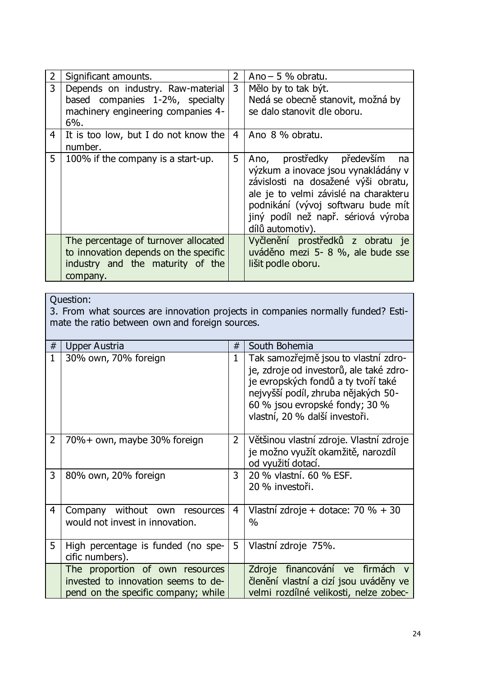|   | Significant amounts.                                                                                                          | $\overline{2}$ | Ano $-5$ % obratu.                                                                                                                                                                                                                                         |
|---|-------------------------------------------------------------------------------------------------------------------------------|----------------|------------------------------------------------------------------------------------------------------------------------------------------------------------------------------------------------------------------------------------------------------------|
| 3 | Depends on industry. Raw-material<br>based companies 1-2%, specialty<br>machinery engineering companies 4-<br>$6%$ .          | 3              | Mělo by to tak být.<br>Nedá se obecně stanovit, možná by<br>se dalo stanovit dle oboru.                                                                                                                                                                    |
| 4 | It is too low, but I do not know the<br>number.                                                                               | $\overline{4}$ | Ano 8 % obratu.                                                                                                                                                                                                                                            |
| 5 | 100% if the company is a start-up.                                                                                            | 5              | Ano, prostředky především<br>na na<br>výzkum a inovace jsou vynakládány v<br>závislosti na dosažené výši obratu,<br>ale je to velmi závislé na charakteru<br>podnikání (vývoj softwaru bude mít<br>jiný podíl než např. sériová výroba<br>dílů automotiv). |
|   | The percentage of turnover allocated<br>to innovation depends on the specific<br>industry and the maturity of the<br>company. |                | Vyčlenění prostředků z obratu je<br>uváděno mezi 5- 8 %, ale bude sse<br>lišit podle oboru.                                                                                                                                                                |

3. From what sources are innovation projects in companies normally funded? Estimate the ratio between own and foreign sources.

| #              | Upper Austria                                                                                                 | #              | South Bohemia                                                                                                                                                                                                                     |
|----------------|---------------------------------------------------------------------------------------------------------------|----------------|-----------------------------------------------------------------------------------------------------------------------------------------------------------------------------------------------------------------------------------|
| $\mathbf{1}$   | 30% own, 70% foreign                                                                                          | 1              | Tak samozřejmě jsou to vlastní zdro-<br>je, zdroje od investorů, ale také zdro-<br>je evropských fondů a ty tvoří také<br>nejvyšší podíl, zhruba nějakých 50-<br>60 % jsou evropské fondy; 30 %<br>vlastní, 20 % další investoři. |
| $\overline{2}$ | 70%+ own, maybe 30% foreign                                                                                   | $\mathbf{2}$   | Většinou vlastní zdroje. Vlastní zdroje<br>je možno využít okamžitě, narozdíl<br>od využití dotací.                                                                                                                               |
| 3              | 80% own, 20% foreign                                                                                          | $\overline{3}$ | 20 % vlastní, 60 % ESF.<br>20 % investoři.                                                                                                                                                                                        |
| 4              | Company without own resources<br>would not invest in innovation.                                              | $\overline{4}$ | Vlastní zdroje + dotace: $70 \% + 30$<br>$\%$                                                                                                                                                                                     |
| 5              | High percentage is funded (no spe-<br>cific numbers).                                                         | 5              | Vlastní zdroje 75%.                                                                                                                                                                                                               |
|                | The proportion of own resources<br>invested to innovation seems to de-<br>pend on the specific company; while |                | Zdroje financování ve firmách<br>členění vlastní a cizí jsou uváděny ve<br>velmi rozdílné velikosti, nelze zobec-                                                                                                                 |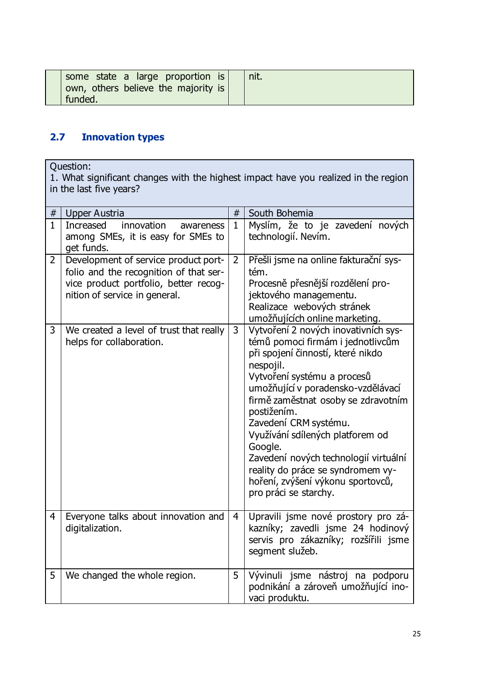| some state a large proportion is<br>own, others believe the majority is |  |
|-------------------------------------------------------------------------|--|
| funded.                                                                 |  |

# <span id="page-26-0"></span>**2.7 Innovation types**

Question:

1. What significant changes with the highest impact have you realized in the region in the last five years?

| $\#$           | <b>Upper Austria</b>                                                                                                                                     | #              | South Bohemia                                                                                                                                                                                                                                                                                                                                                                                                                                                              |
|----------------|----------------------------------------------------------------------------------------------------------------------------------------------------------|----------------|----------------------------------------------------------------------------------------------------------------------------------------------------------------------------------------------------------------------------------------------------------------------------------------------------------------------------------------------------------------------------------------------------------------------------------------------------------------------------|
| $\mathbf{1}$   | innovation<br><b>Increased</b><br>awareness<br>among SMEs, it is easy for SMEs to<br>get funds.                                                          | $\mathbf{1}$   | Myslím, že to je zavedení nových<br>technologií. Nevím.                                                                                                                                                                                                                                                                                                                                                                                                                    |
| $\overline{2}$ | Development of service product port-<br>folio and the recognition of that ser-<br>vice product portfolio, better recog-<br>nition of service in general. | $\overline{2}$ | Přešli jsme na online fakturační sys-<br>tém.<br>Procesně přesnější rozdělení pro-<br>jektového managementu.<br>Realizace webových stránek<br>umožňujících online marketing.                                                                                                                                                                                                                                                                                               |
| 3              | We created a level of trust that really<br>helps for collaboration.                                                                                      | 3              | Vytvoření 2 nových inovativních sys-<br>témů pomoci firmám i jednotlivcům<br>při spojení činností, které nikdo<br>nespojil.<br>Vytvoření systému a procesů<br>umožňující v poradensko-vzdělávací<br>firmě zaměstnat osoby se zdravotním<br>postižením.<br>Zavedení CRM systému.<br>Využívání sdílených platforem od<br>Google.<br>Zavedení nových technologií virtuální<br>reality do práce se syndromem vy-<br>hoření, zvýšení výkonu sportovců,<br>pro práci se starchy. |
| $\overline{4}$ | Everyone talks about innovation and<br>digitalization.                                                                                                   | $\overline{4}$ | Upravili jsme nové prostory pro zá-<br>kazníky; zavedli jsme 24 hodinový<br>servis pro zákazníky; rozšířili jsme<br>segment služeb.                                                                                                                                                                                                                                                                                                                                        |
| 5              | We changed the whole region.                                                                                                                             | 5              | Vývinuli jsme nástroj na podporu<br>podnikání a zároveň umožňující ino-<br>vaci produktu.                                                                                                                                                                                                                                                                                                                                                                                  |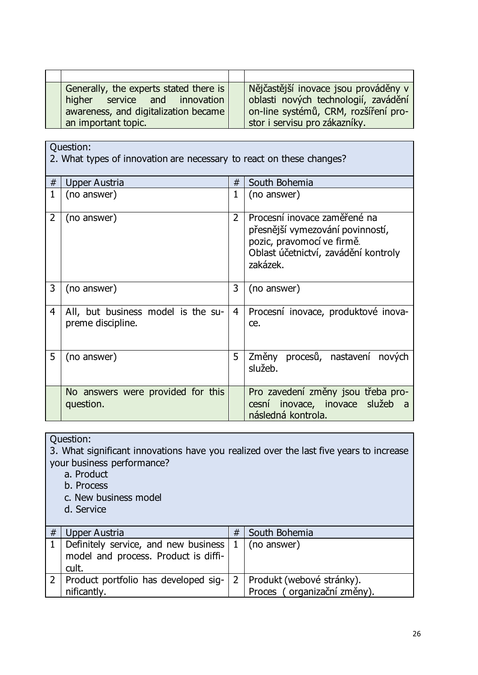| Generally, the experts stated there is<br>higher service and innovation<br>awareness, and digitalization became<br>an important topic. | Nějčastější inovace jsou prováděny v<br>oblasti nových technologií, zavádění<br>on-line systémů, CRM, rozšíření pro-<br>stor i servisu pro zákazníky. |
|----------------------------------------------------------------------------------------------------------------------------------------|-------------------------------------------------------------------------------------------------------------------------------------------------------|

2. What types of innovation are necessary to react on these changes?

| # | Upper Austria                                           | #              | South Bohemia                                                                                                                                      |  |  |
|---|---------------------------------------------------------|----------------|----------------------------------------------------------------------------------------------------------------------------------------------------|--|--|
| 1 | (no answer)                                             | $\mathbf{1}$   | (no answer)                                                                                                                                        |  |  |
| 2 | (no answer)                                             | $\overline{2}$ | Procesní inovace zaměřené na<br>přesnější vymezování povinností,<br>pozic, pravomocí ve firmě.<br>Oblast účetnictví, zavádění kontroly<br>zakázek. |  |  |
| 3 | (no answer)                                             | 3              | (no answer)                                                                                                                                        |  |  |
| 4 | All, but business model is the su-<br>preme discipline. | $\overline{4}$ | Procesní inovace, produktové inova-<br>ce.                                                                                                         |  |  |
| 5 | (no answer)                                             | 5              | Změny procesů, nastavení nových<br>služeb.                                                                                                         |  |  |
|   | No answers were provided for this<br>question.          |                | Pro zavedení změny jsou třeba pro-<br>cesní inovace, inovace služeb<br>následná kontrola.                                                          |  |  |

Question:

3. What significant innovations have you realized over the last five years to increase your business performance?

a. Product

b. Process

c. New business model

d. Service

| # | Upper Austria                                                                               | #  | South Bohemia                                            |
|---|---------------------------------------------------------------------------------------------|----|----------------------------------------------------------|
|   | 1   Definitely service, and new business  <br>model and process. Product is diffi-<br>cult. | -1 | (no answer)                                              |
|   | 2   Product portfolio has developed sig-<br>nificantly.                                     | 2  | Produkt (webové stránky).<br>Proces (organizační změny). |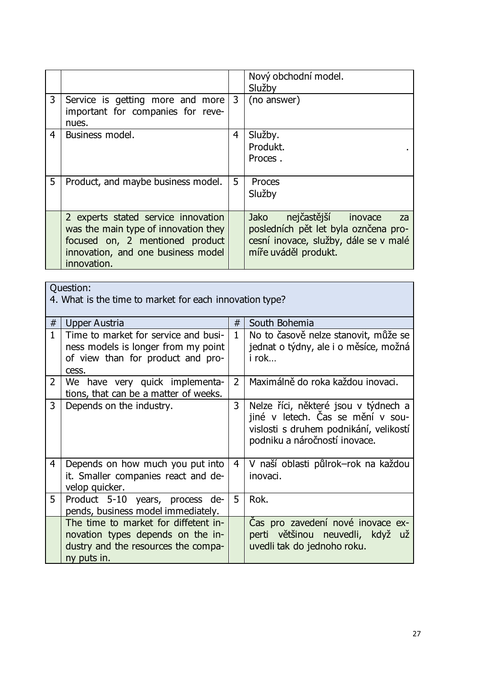|                |                                                                                                                                                                     |   | Nový obchodní model.<br>Služby                                                                                                                |
|----------------|---------------------------------------------------------------------------------------------------------------------------------------------------------------------|---|-----------------------------------------------------------------------------------------------------------------------------------------------|
| 3              | Service is getting more and more<br>important for companies for reve-<br>nues.                                                                                      | 3 | (no answer)                                                                                                                                   |
| $\overline{4}$ | Business model.                                                                                                                                                     | 4 | Služby.<br>Produkt.<br>Proces.                                                                                                                |
| 5              | Product, and maybe business model.                                                                                                                                  | 5 | Proces<br>Služby                                                                                                                              |
|                | 2 experts stated service innovation<br>was the main type of innovation they<br>focused on, 2 mentioned product<br>innovation, and one business model<br>innovation. |   | nejčastější<br>Jako<br>inovace<br>za<br>posledních pět let byla oznčena pro-<br>cesní inovace, služby, dále se v malé<br>míře uváděl produkt. |

4. What is the time to market for each innovation type?

| #              | Upper Austria                                                                                                                   | #            | South Bohemia                                                                                                                                        |
|----------------|---------------------------------------------------------------------------------------------------------------------------------|--------------|------------------------------------------------------------------------------------------------------------------------------------------------------|
| $\mathbf{1}$   | Time to market for service and busi-<br>ness models is longer from my point<br>of view than for product and pro-<br>cess.       | $\mathbf{1}$ | No to časově nelze stanovit, může se<br>jednat o týdny, ale i o měsíce, možná<br>i rok                                                               |
| $\overline{2}$ | We have very quick implementa-<br>tions, that can be a matter of weeks.                                                         | $2^{\circ}$  | Maximálně do roka každou inovaci.                                                                                                                    |
| 3              | Depends on the industry.                                                                                                        | 3            | Nelze říci, některé jsou v týdnech a<br>jiné v letech. Čas se mění v sou-<br>vislosti s druhem podnikání, velikostí<br>podniku a náročností inovace. |
| $\overline{4}$ | Depends on how much you put into<br>it. Smaller companies react and de-<br>velop quicker.                                       | 4            | V naší oblasti půlrok–rok na každou<br>inovaci.                                                                                                      |
| 5              | Product 5-10 years, process de-<br>pends, business model immediately.                                                           | 5            | Rok.                                                                                                                                                 |
|                | The time to market for diffetent in-<br>novation types depends on the in-<br>dustry and the resources the compa-<br>ny puts in. |              | Cas pro zavedení nové inovace ex-<br>perti většinou neuvedli, když už<br>uvedli tak do jednoho roku.                                                 |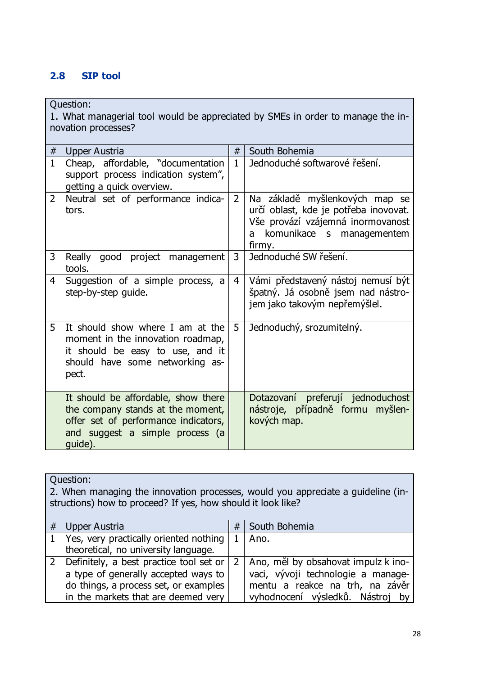### <span id="page-29-0"></span>**2.8 SIP tool**

Question:

1. What managerial tool would be appreciated by SMEs in order to manage the innovation processes?

| #              | Upper Austria                                                                                                                                                  | #              | South Bohemia                                                                                                                                            |
|----------------|----------------------------------------------------------------------------------------------------------------------------------------------------------------|----------------|----------------------------------------------------------------------------------------------------------------------------------------------------------|
| $\mathbf{1}$   | Cheap, affordable, "documentation<br>support process indication system",<br>getting a quick overview.                                                          | $\mathbf{1}$   | Jednoduché softwarové řešení.                                                                                                                            |
| $\overline{2}$ | Neutral set of performance indica-<br>tors.                                                                                                                    | $\overline{2}$ | Na základě myšlenkových map se<br>určí oblast, kde je potřeba inovovat.<br>Vše provází vzájemná inormovanost<br>komunikace s managementem<br>a<br>firmy. |
| $\overline{3}$ | Really good project management<br>tools.                                                                                                                       | $\overline{3}$ | Jednoduché SW řešení.                                                                                                                                    |
| 4              | Suggestion of a simple process, a<br>step-by-step guide.                                                                                                       | $\overline{4}$ | Vámi představený nástoj nemusí být<br>špatný. Já osobně jsem nad nástro-<br>jem jako takovým nepřemýšlel.                                                |
| 5              | It should show where I am at the<br>moment in the innovation roadmap,<br>it should be easy to use, and it<br>should have some networking as-<br>pect.          | 5              | Jednoduchý, srozumitelný.                                                                                                                                |
|                | It should be affordable, show there<br>the company stands at the moment,<br>offer set of performance indicators,<br>and suggest a simple process (a<br>guide). |                | Dotazovaní preferují jednoduchost<br>nástroje, případně formu myšlen-<br>kových map.                                                                     |

Question:

2. When managing the innovation processes, would you appreciate a guideline (instructions) how to proceed? If yes, how should it look like?

| # | Upper Austria                               | # | South Bohemia                           |  |  |  |
|---|---------------------------------------------|---|-----------------------------------------|--|--|--|
|   | 1   Yes, very practically oriented nothing  |   | Ano.                                    |  |  |  |
|   | theoretical, no university language.        |   |                                         |  |  |  |
|   | 2   Definitely, a best practice tool set or |   | 2   Ano, měl by obsahovat impulz k ino- |  |  |  |
|   | a type of generally accepted ways to        |   | vaci, vývoji technologie a manage-      |  |  |  |
|   | do things, a process set, or examples       |   | mentu a reakce na trh, na závěr         |  |  |  |
|   | in the markets that are deemed very         |   | vyhodnocení výsledků. Nástroj by        |  |  |  |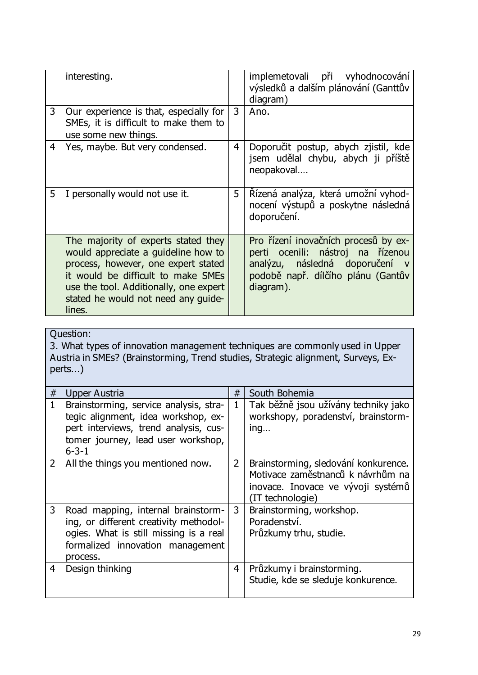|   | interesting.                                                                                                                                                                                                                                       |                | implemetovali při vyhodnocování<br>výsledků a dalším plánování (Ganttův<br>diagram)                                                                          |  |  |
|---|----------------------------------------------------------------------------------------------------------------------------------------------------------------------------------------------------------------------------------------------------|----------------|--------------------------------------------------------------------------------------------------------------------------------------------------------------|--|--|
| 3 | Our experience is that, especially for<br>SMEs, it is difficult to make them to<br>use some new things.                                                                                                                                            | 3              | Ano.                                                                                                                                                         |  |  |
| 4 | Yes, maybe. But very condensed.                                                                                                                                                                                                                    | $\overline{4}$ | Doporučit postup, abych zjistil, kde<br>jsem udělal chybu, abych ji příště<br>neopakoval                                                                     |  |  |
| 5 | I personally would not use it.                                                                                                                                                                                                                     | 5              | Řízená analýza, která umožní vyhod-<br>nocení výstupů a poskytne následná<br>doporučení.                                                                     |  |  |
|   | The majority of experts stated they<br>would appreciate a guideline how to<br>process, however, one expert stated<br>it would be difficult to make SMEs<br>use the tool. Additionally, one expert<br>stated he would not need any guide-<br>lines. |                | Pro řízení inovačních procesů by ex-<br>perti ocenili: nástroj na řízenou<br>analýzu, následná doporučení<br>podobě např. dílčího plánu (Gantův<br>diagram). |  |  |

3. What types of innovation management techniques are commonly used in Upper Austria in SMEs? (Brainstorming, Trend studies, Strategic alignment, Surveys, Experts...)

| #              | Upper Austria                                                                                                                                                               | #              | South Bohemia                                                                                                                       |
|----------------|-----------------------------------------------------------------------------------------------------------------------------------------------------------------------------|----------------|-------------------------------------------------------------------------------------------------------------------------------------|
| $\mathbf{1}$   | Brainstorming, service analysis, stra-<br>tegic alignment, idea workshop, ex-<br>pert interviews, trend analysis, cus-<br>tomer journey, lead user workshop,<br>$6 - 3 - 1$ | $\mathbf{1}$   | Tak běžně jsou užívány techniky jako<br>workshopy, poradenství, brainstorm-<br>ing                                                  |
| $2^{\circ}$    | All the things you mentioned now.                                                                                                                                           | $\overline{2}$ | Brainstorming, sledování konkurence.<br>Motivace zaměstnanců k návrhům na<br>inovace. Inovace ve vývoji systémů<br>(IT technologie) |
| 3              | Road mapping, internal brainstorm-<br>ing, or different creativity methodol-<br>ogies. What is still missing is a real<br>formalized innovation management<br>process.      | 3              | Brainstorming, workshop.<br>Poradenství.<br>Průzkumy trhu, studie.                                                                  |
| $\overline{4}$ | Design thinking                                                                                                                                                             | 4              | Průzkumy i brainstorming.<br>Studie, kde se sleduje konkurence.                                                                     |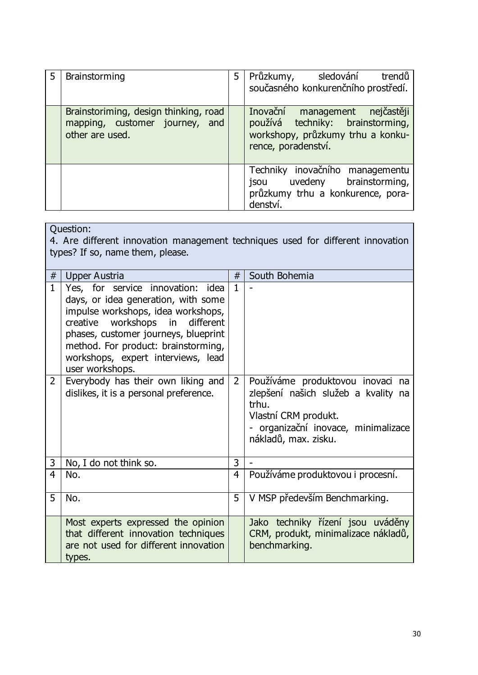| 5 | Brainstorming                                                                              | 5 | Průzkumy, sledování<br>trendů<br>současného konkurenčního prostředí.                                                           |
|---|--------------------------------------------------------------------------------------------|---|--------------------------------------------------------------------------------------------------------------------------------|
|   | Brainstoriming, design thinking, road<br>mapping, customer journey, and<br>other are used. |   | Inovační management nejčastěji<br>používá techniky: brainstorming,<br>workshopy, průzkumy trhu a konku-<br>rence, poradenství. |
|   |                                                                                            |   | Techniky inovačního managementu<br>jsou uvedeny brainstorming,<br>průzkumy trhu a konkurence, pora-<br>denství.                |

Question: 4. Are different innovation management techniques used for different innovation types? If so, name them, please.

| #              | <b>Upper Austria</b>                                                                                                                                                                                                                                                                      | #            | South Bohemia                                                                                                                                                           |
|----------------|-------------------------------------------------------------------------------------------------------------------------------------------------------------------------------------------------------------------------------------------------------------------------------------------|--------------|-------------------------------------------------------------------------------------------------------------------------------------------------------------------------|
| $\mathbf{1}$   | Yes, for service innovation: idea<br>days, or idea generation, with some<br>impulse workshops, idea workshops,<br>creative workshops in different<br>phases, customer journeys, blueprint<br>method. For product: brainstorming,<br>workshops, expert interviews, lead<br>user workshops. | $\mathbf{1}$ |                                                                                                                                                                         |
| $\overline{2}$ | Everybody has their own liking and<br>dislikes, it is a personal preference.                                                                                                                                                                                                              | $2^{\circ}$  | Používáme produktovou inovaci na<br>zlepšení našich služeb a kvality na<br>trhu.<br>Vlastní CRM produkt.<br>- organizační inovace, minimalizace<br>nákladů, max. zisku. |
| 3              | No, I do not think so.                                                                                                                                                                                                                                                                    | 3            |                                                                                                                                                                         |
| 4              | No.                                                                                                                                                                                                                                                                                       | 4            | Používáme produktovou i procesní.                                                                                                                                       |
| 5              | No.                                                                                                                                                                                                                                                                                       | 5            | V MSP především Benchmarking.                                                                                                                                           |
|                | Most experts expressed the opinion<br>that different innovation techniques<br>are not used for different innovation<br>types.                                                                                                                                                             |              | Jako techniky řízení jsou uváděny<br>CRM, produkt, minimalizace nákladů,<br>benchmarking.                                                                               |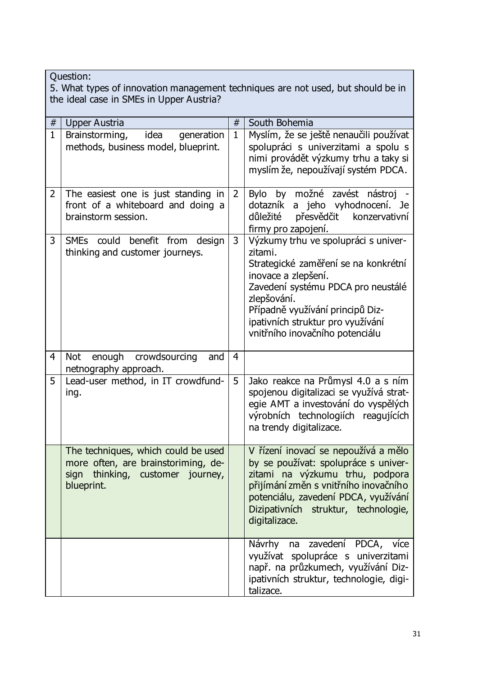| Question:<br>5. What types of innovation management techniques are not used, but should be in<br>the ideal case in SMEs in Upper Austria? |                                                                                                                              |                |                                                                                                                                                                                                                                                                                 |
|-------------------------------------------------------------------------------------------------------------------------------------------|------------------------------------------------------------------------------------------------------------------------------|----------------|---------------------------------------------------------------------------------------------------------------------------------------------------------------------------------------------------------------------------------------------------------------------------------|
| $\#$                                                                                                                                      | <b>Upper Austria</b>                                                                                                         | #              | South Bohemia                                                                                                                                                                                                                                                                   |
| $\mathbf{1}$                                                                                                                              | idea<br>Brainstorming,<br>generation<br>methods, business model, blueprint.                                                  | $\mathbf{1}$   | Myslím, že se ještě nenaučili používat<br>spolupráci s univerzitami a spolu s<br>nimi provádět výzkumy trhu a taky si<br>myslím že, nepoužívají systém PDCA.                                                                                                                    |
| $\overline{2}$                                                                                                                            | The easiest one is just standing in<br>front of a whiteboard and doing a<br>brainstorm session.                              | $\overline{2}$ | Bylo by možné zavést nástroj<br>dotazník a jeho vyhodnocení. Je<br>důležité<br>přesvědčit<br>konzervativní<br>firmy pro zapojení.                                                                                                                                               |
| 3                                                                                                                                         | SMEs could<br>benefit from design<br>thinking and customer journeys.                                                         | 3              | Výzkumy trhu ve spolupráci s univer-<br>zitami.<br>Strategické zaměření se na konkrétní<br>inovace a zlepšení.<br>Zavedení systému PDCA pro neustálé<br>zlepšování.<br>Případně využívání principů Diz-<br>ipativních struktur pro využívání<br>vnitřního inovačního potenciálu |
| $\overline{4}$                                                                                                                            | enough<br>crowdsourcing<br>Not<br>and<br>netnography approach.                                                               | 4              |                                                                                                                                                                                                                                                                                 |
| 5                                                                                                                                         | Lead-user method, in IT crowdfund-<br>ing.                                                                                   | 5              | Jako reakce na Průmysl 4.0 a s ním<br>spojenou digitalizaci se využívá strat-<br>egie AMT a investování do vyspělých<br>výrobních technologiích reagujících<br>na trendy digitalizace.                                                                                          |
|                                                                                                                                           | The techniques, which could be used<br>more often, are brainstoriming, de-<br>sign thinking, customer journey,<br>blueprint. |                | V řízení inovací se nepoužívá a mělo<br>by se používat: spolupráce s univer-<br>zitami na výzkumu trhu, podpora<br>přijímání změn s vnitřního inovačního<br>potenciálu, zavedení PDCA, využívání<br>Dizipativních struktur, technologie,<br>digitalizace.                       |
|                                                                                                                                           |                                                                                                                              |                | Návrhy na zavedení PDCA, více<br>využívat spolupráce s univerzitami<br>např. na průzkumech, využívání Diz-<br>ipativních struktur, technologie, digi-<br>talizace.                                                                                                              |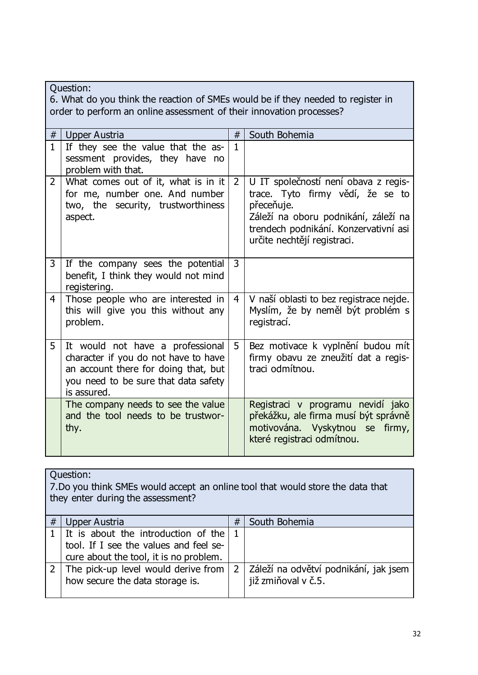| Question:<br>6. What do you think the reaction of SMEs would be if they needed to register in<br>order to perform an online assessment of their innovation processes? |                |                                                                                                                                                                         |                |                                                                                                                                                                                                        |
|-----------------------------------------------------------------------------------------------------------------------------------------------------------------------|----------------|-------------------------------------------------------------------------------------------------------------------------------------------------------------------------|----------------|--------------------------------------------------------------------------------------------------------------------------------------------------------------------------------------------------------|
|                                                                                                                                                                       | #              | Upper Austria                                                                                                                                                           | #              | South Bohemia                                                                                                                                                                                          |
|                                                                                                                                                                       | $\mathbf{1}$   | If they see the value that the as-<br>sessment provides, they have no<br>problem with that.                                                                             | $\mathbf{1}$   |                                                                                                                                                                                                        |
|                                                                                                                                                                       | $\overline{2}$ | What comes out of it, what is in it<br>for me, number one. And number<br>two, the security, trustworthiness<br>aspect.                                                  | $\overline{2}$ | U IT společností není obava z regis-<br>trace. Tyto firmy vědí, že se to<br>přeceňuje.<br>Záleží na oboru podnikání, záleží na<br>trendech podnikání. Konzervativní asi<br>určite nechtějí registraci. |
|                                                                                                                                                                       | 3              | If the company sees the potential<br>benefit, I think they would not mind<br>registering.                                                                               | 3              |                                                                                                                                                                                                        |
|                                                                                                                                                                       | $\overline{4}$ | Those people who are interested in<br>this will give you this without any<br>problem.                                                                                   | $\overline{4}$ | V naší oblasti to bez registrace nejde.<br>Myslím, že by neměl být problém s<br>registrací.                                                                                                            |
|                                                                                                                                                                       | 5              | It would not have a professional<br>character if you do not have to have<br>an account there for doing that, but<br>you need to be sure that data safety<br>is assured. | 5              | Bez motivace k vyplnění budou mít<br>firmy obavu ze zneužití dat a regis-<br>traci odmítnou.                                                                                                           |
|                                                                                                                                                                       |                | The company needs to see the value<br>and the tool needs to be trustwor-<br>thy.                                                                                        |                | Registraci v programu nevidí jako<br>překážku, ale firma musí být správně<br>motivována. Vyskytnou se firmy,<br>které registraci odmítnou.                                                             |

|   | Question:<br>7. Do you think SMEs would accept an online tool that would store the data that<br>they enter during the assessment? |                |                                                              |  |  |
|---|-----------------------------------------------------------------------------------------------------------------------------------|----------------|--------------------------------------------------------------|--|--|
| # | Upper Austria                                                                                                                     | #              | South Bohemia                                                |  |  |
|   | It is about the introduction of the<br>tool. If I see the values and feel se-<br>cure about the tool, it is no problem.           |                |                                                              |  |  |
|   | The pick-up level would derive from<br>how secure the data storage is.                                                            | 2 <sup>1</sup> | Záleží na odvětví podnikání, jak jsem<br>již zmiňoval v č.5. |  |  |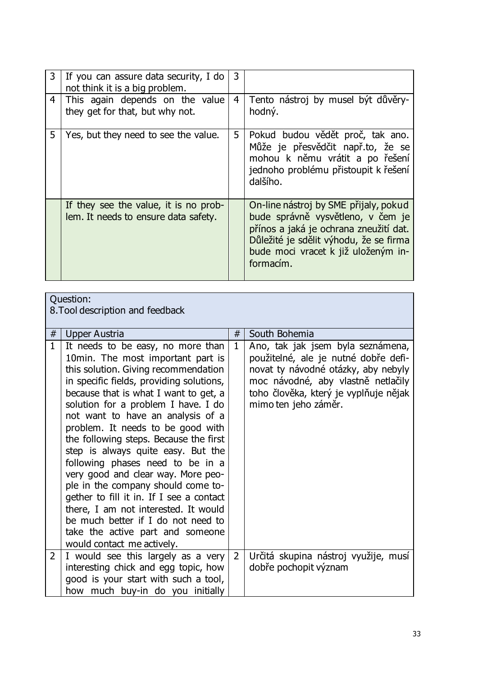| 3 | If you can assure data security, I do<br>not think it is a big problem.       | 3              |                                                                                                                                                                                                                    |
|---|-------------------------------------------------------------------------------|----------------|--------------------------------------------------------------------------------------------------------------------------------------------------------------------------------------------------------------------|
| 4 | This again depends on the value<br>they get for that, but why not.            | $\overline{4}$ | Tento nástroj by musel být důvěry-<br>hodný.                                                                                                                                                                       |
| 5 | Yes, but they need to see the value.                                          | 5 <sub>1</sub> | Pokud budou vědět proč, tak ano.<br>Může je přesvědčit např.to, že se<br>mohou k němu vrátit a po řešení<br>jednoho problému přistoupit k řešení<br>dalšího.                                                       |
|   | If they see the value, it is no prob-<br>lem. It needs to ensure data safety. |                | On-line nástroj by SME přijaly, pokud<br>bude správně vysvětleno, v čem je<br>přínos a jaká je ochrana zneužití dat.<br>Důležité je sdělit výhodu, že se firma<br>bude moci vracet k již uloženým in-<br>formacim. |

| Question:<br>8. Tool description and feedback |              |                                                                                                                                                                                                                                                                                                                                                                                                                                                                                                                                                                                                                                                                                                                  |                |                                                                                                                                                                                                                         |
|-----------------------------------------------|--------------|------------------------------------------------------------------------------------------------------------------------------------------------------------------------------------------------------------------------------------------------------------------------------------------------------------------------------------------------------------------------------------------------------------------------------------------------------------------------------------------------------------------------------------------------------------------------------------------------------------------------------------------------------------------------------------------------------------------|----------------|-------------------------------------------------------------------------------------------------------------------------------------------------------------------------------------------------------------------------|
|                                               | $\#$         | Upper Austria                                                                                                                                                                                                                                                                                                                                                                                                                                                                                                                                                                                                                                                                                                    | #              | South Bohemia                                                                                                                                                                                                           |
|                                               | $\mathbf{1}$ | It needs to be easy, no more than<br>10min. The most important part is<br>this solution. Giving recommendation<br>in specific fields, providing solutions,<br>because that is what I want to get, a<br>solution for a problem I have. I do<br>not want to have an analysis of a<br>problem. It needs to be good with<br>the following steps. Because the first<br>step is always quite easy. But the<br>following phases need to be in a<br>very good and clear way. More peo-<br>ple in the company should come to-<br>gether to fill it in. If I see a contact<br>there, I am not interested. It would<br>be much better if I do not need to<br>take the active part and someone<br>would contact me actively. | 1              | Ano, tak jak jsem byla seznámena,<br>použitelné, ale je nutné dobře defi-<br>novat ty návodné otázky, aby nebyly<br>moc návodné, aby vlastně netlačily<br>toho člověka, který je vyplňuje nějak<br>mimo ten jeho záměr. |
|                                               | $\mathbf{2}$ | I would see this largely as a very<br>interesting chick and egg topic, how<br>good is your start with such a tool,                                                                                                                                                                                                                                                                                                                                                                                                                                                                                                                                                                                               | $\overline{2}$ | Určitá skupina nástroj využije, musí<br>dobře pochopit význam                                                                                                                                                           |

how much buy-in do you initially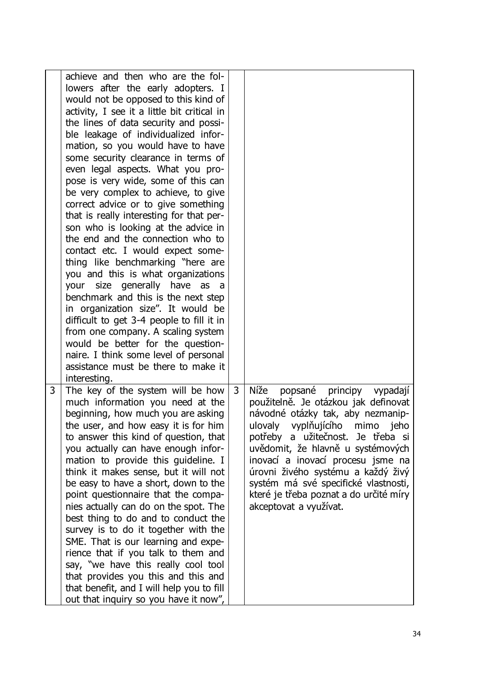|   | achieve and then who are the fol-<br>lowers after the early adopters. I<br>would not be opposed to this kind of<br>activity, I see it a little bit critical in<br>the lines of data security and possi-<br>ble leakage of individualized infor-<br>mation, so you would have to have<br>some security clearance in terms of<br>even legal aspects. What you pro-<br>pose is very wide, some of this can<br>be very complex to achieve, to give<br>correct advice or to give something<br>that is really interesting for that per-<br>son who is looking at the advice in<br>the end and the connection who to<br>contact etc. I would expect some-<br>thing like benchmarking "here are<br>you and this is what organizations<br>your size generally have as a<br>benchmark and this is the next step<br>in organization size". It would be<br>difficult to get 3-4 people to fill it in<br>from one company. A scaling system<br>would be better for the question-<br>naire. I think some level of personal<br>assistance must be there to make it<br>interesting. |   |                                                                                                                                                                                                                                                                                                                                                                                                                   |
|---|---------------------------------------------------------------------------------------------------------------------------------------------------------------------------------------------------------------------------------------------------------------------------------------------------------------------------------------------------------------------------------------------------------------------------------------------------------------------------------------------------------------------------------------------------------------------------------------------------------------------------------------------------------------------------------------------------------------------------------------------------------------------------------------------------------------------------------------------------------------------------------------------------------------------------------------------------------------------------------------------------------------------------------------------------------------------|---|-------------------------------------------------------------------------------------------------------------------------------------------------------------------------------------------------------------------------------------------------------------------------------------------------------------------------------------------------------------------------------------------------------------------|
| 3 | The key of the system will be how<br>much information you need at the<br>beginning, how much you are asking<br>the user, and how easy it is for him<br>to answer this kind of question, that<br>you actually can have enough infor-<br>mation to provide this guideline. I<br>think it makes sense, but it will not<br>be easy to have a short, down to the<br>point questionnaire that the compa-<br>nies actually can do on the spot. The<br>best thing to do and to conduct the<br>survey is to do it together with the<br>SME. That is our learning and expe-<br>rience that if you talk to them and<br>say, "we have this really cool tool<br>that provides you this and this and<br>that benefit, and I will help you to fill<br>out that inquiry so you have it now",                                                                                                                                                                                                                                                                                        | 3 | Níže<br>popsané principy vypadají<br>použitelně. Je otázkou jak definovat<br>návodné otázky tak, aby nezmanip-<br>ulovaly vyplňujícího mimo jeho<br>potřeby a užitečnost. Je třeba si<br>uvědomit, že hlavně u systémových<br>inovací a inovací procesu jsme na<br>úrovni živého systému a každý živý<br>systém má své specifické vlastnosti,<br>které je třeba poznat a do určité míry<br>akceptovat a využívat. |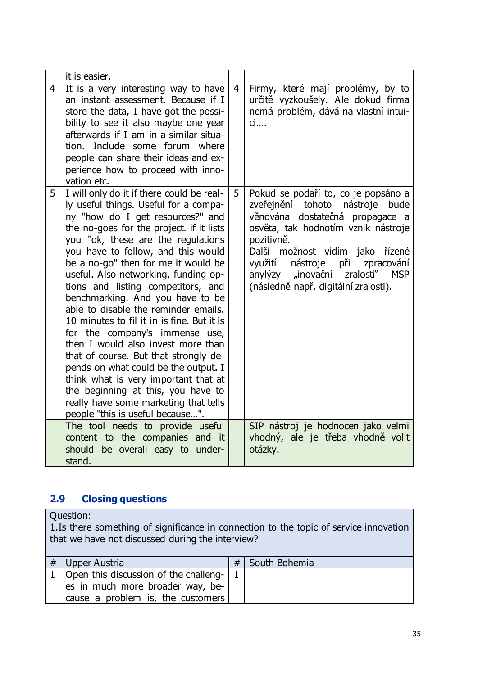|                | it is easier.                                                                                                                                                                                                                                                                                                                                                                                                                                                                                                                                                                                                                                                                                                                                                                                                     |                |                                                                                                                                                                                                                                                                                                                                          |
|----------------|-------------------------------------------------------------------------------------------------------------------------------------------------------------------------------------------------------------------------------------------------------------------------------------------------------------------------------------------------------------------------------------------------------------------------------------------------------------------------------------------------------------------------------------------------------------------------------------------------------------------------------------------------------------------------------------------------------------------------------------------------------------------------------------------------------------------|----------------|------------------------------------------------------------------------------------------------------------------------------------------------------------------------------------------------------------------------------------------------------------------------------------------------------------------------------------------|
| $\overline{4}$ | It is a very interesting way to have<br>an instant assessment. Because if I<br>store the data, I have got the possi-<br>bility to see it also maybe one year<br>afterwards if I am in a similar situa-<br>tion. Include some forum where<br>people can share their ideas and ex-<br>perience how to proceed with inno-<br>vation etc.                                                                                                                                                                                                                                                                                                                                                                                                                                                                             | $\overline{4}$ | Firmy, které mají problémy, by to<br>určitě vyzkoušely. Ale dokud firma<br>nemá problém, dává na vlastní intui-<br>$\mathsf{ci}$                                                                                                                                                                                                         |
| 5              | I will only do it if there could be real-<br>ly useful things. Useful for a compa-<br>ny "how do I get resources?" and<br>the no-goes for the project. if it lists<br>you "ok, these are the regulations<br>you have to follow, and this would<br>be a no-go" then for me it would be<br>useful. Also networking, funding op-<br>tions and listing competitors, and<br>benchmarking. And you have to be<br>able to disable the reminder emails.<br>10 minutes to fil it in is fine. But it is<br>for the company's immense use,<br>then I would also invest more than<br>that of course. But that strongly de-<br>pends on what could be the output. I<br>think what is very important that at<br>the beginning at this, you have to<br>really have some marketing that tells<br>people "this is useful because". | 5              | Pokud se podaří to, co je popsáno a<br>zveřejnění tohoto nástroje<br>bude<br>věnována dostatečná propagace a<br>osvěta, tak hodnotím vznik nástroje<br>pozitivně.<br>možnost vidím jako řízené<br>Další<br>využití<br>nástroje při<br>zpracování<br>anylýzy "inovační<br>zralosti"<br><b>MSP</b><br>(následně např. digitální zralosti). |
|                | The tool needs to provide useful<br>content to the companies and it<br>should be overall easy to under-<br>stand.                                                                                                                                                                                                                                                                                                                                                                                                                                                                                                                                                                                                                                                                                                 |                | SIP nástroj je hodnocen jako velmi<br>vhodný, ale je třeba vhodně volit<br>otázky.                                                                                                                                                                                                                                                       |

# <span id="page-36-0"></span>**2.9 Closing questions**

Question:

1.Is there something of significance in connection to the topic of service innovation that we have not discussed during the interview?

| # | Upper Austria                                                                           | # | South Bohemia |
|---|-----------------------------------------------------------------------------------------|---|---------------|
|   | 1   Open this discussion of the challeng- $\vert$ 1<br>es in much more broader way, be- |   |               |
|   | cause a problem is, the customers                                                       |   |               |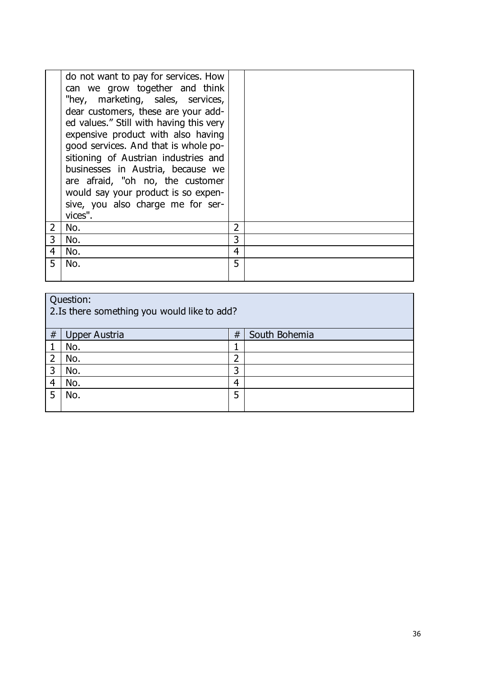|                | do not want to pay for services. How<br>can we grow together and think<br>"hey, marketing, sales, services,<br>dear customers, these are your add-<br>ed values." Still with having this very<br>expensive product with also having<br>good services. And that is whole po-<br>sitioning of Austrian industries and<br>businesses in Austria, because we<br>are afraid, "oh no, the customer<br>would say your product is so expen-<br>sive, you also charge me for ser-<br>vices". |                |  |
|----------------|-------------------------------------------------------------------------------------------------------------------------------------------------------------------------------------------------------------------------------------------------------------------------------------------------------------------------------------------------------------------------------------------------------------------------------------------------------------------------------------|----------------|--|
| $\overline{2}$ | No.                                                                                                                                                                                                                                                                                                                                                                                                                                                                                 | $\overline{2}$ |  |
| 3              | No.                                                                                                                                                                                                                                                                                                                                                                                                                                                                                 | 3              |  |
| 4              | No.                                                                                                                                                                                                                                                                                                                                                                                                                                                                                 | $\overline{4}$ |  |
|                | No.                                                                                                                                                                                                                                                                                                                                                                                                                                                                                 | 5              |  |
|                |                                                                                                                                                                                                                                                                                                                                                                                                                                                                                     |                |  |

| Question:<br>2. Is there something you would like to add? |                      |   |               |
|-----------------------------------------------------------|----------------------|---|---------------|
| #                                                         | <b>Upper Austria</b> | # | South Bohemia |
|                                                           | No.                  |   |               |
|                                                           | No.                  | ว |               |
| 3                                                         | No.                  | 3 |               |
| 4                                                         | No.                  | 4 |               |
|                                                           | No.                  | 5 |               |
|                                                           |                      |   |               |